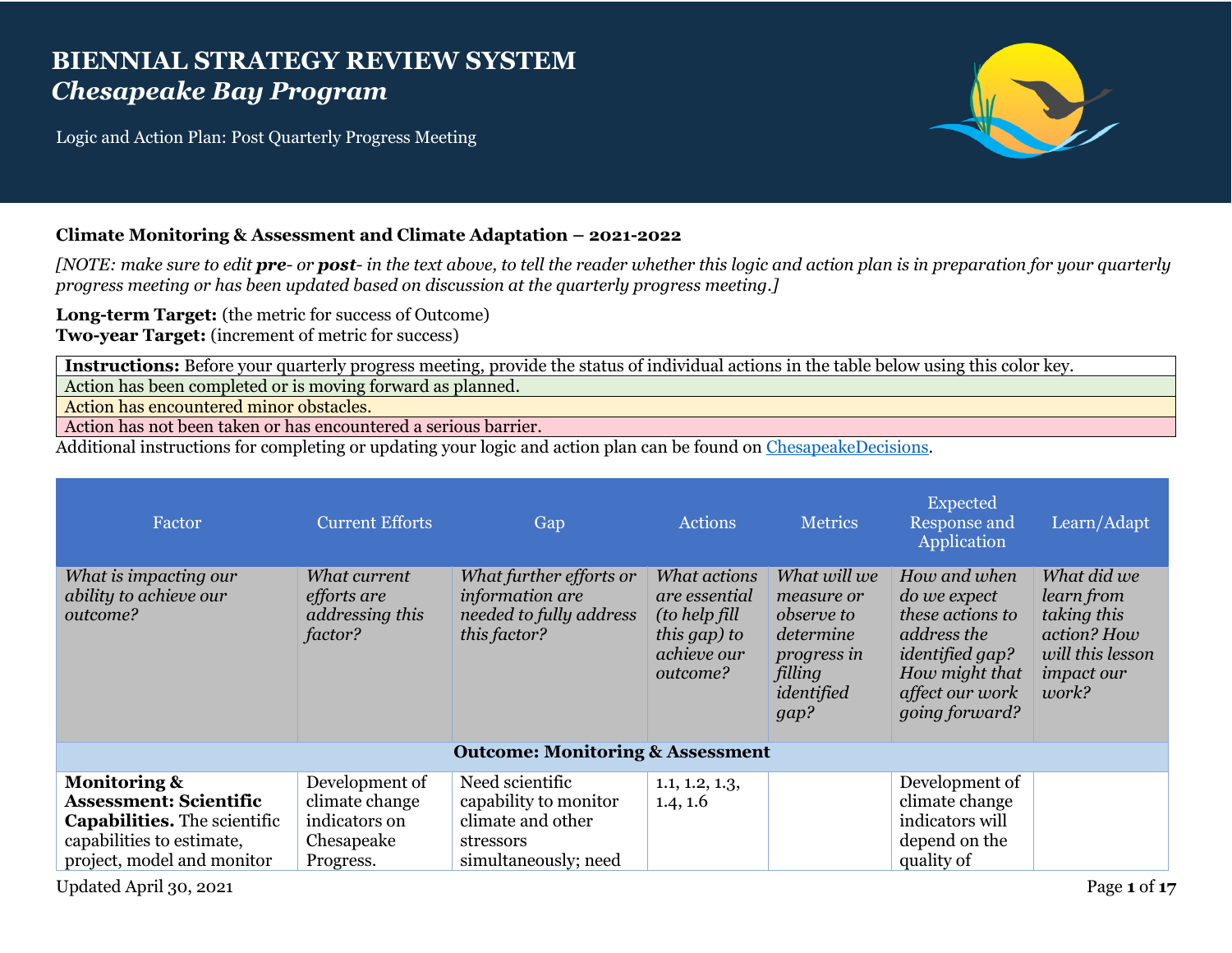## **BIENNIAL STRATEGY REVIEW SYSTEM** *Chesapeake Bay Program*

Logic and Action Plan: Post Quarterly Progress Meeting



## **Climate Monitoring & Assessment and Climate Adaptation – 2021-2022**

*[NOTE: make sure to edit pre- or post- in the text above, to tell the reader whether this logic and action plan is in preparation for your quarterly progress meeting or has been updated based on discussion at the quarterly progress meeting.]*

**Long-term Target:** (the metric for success of Outcome) **Two-year Target:** (increment of metric for success)

**Instructions:** Before your quarterly progress meeting, provide the status of individual actions in the table below using this color key.

Action has been completed or is moving forward as planned.

Action has encountered minor obstacles.

Action has not been taken or has encountered a serious barrier.

Additional instructions for completing or updating your logic and action plan can be found on [ChesapeakeDecisions.](http://www.chesapeakebay.net/decisions/srs-guide)

| Factor                                                                                                                                                     | <b>Current Efforts</b>                                                       | Gap                                                                                                | <b>Actions</b>                                                                             | <b>Metrics</b>                                                                                               | Expected<br>Response and<br>Application                                                                                                                        | Learn/Adapt                                                                                               |
|------------------------------------------------------------------------------------------------------------------------------------------------------------|------------------------------------------------------------------------------|----------------------------------------------------------------------------------------------------|--------------------------------------------------------------------------------------------|--------------------------------------------------------------------------------------------------------------|----------------------------------------------------------------------------------------------------------------------------------------------------------------|-----------------------------------------------------------------------------------------------------------|
| What is impacting our<br>ability to achieve our<br>outcome?                                                                                                | What current<br><i>efforts</i> are<br>addressing this<br>factor?             | What further efforts or<br>information are<br>needed to fully address<br>this factor?              | What actions<br>are essential<br>(to help fill)<br>this gap) to<br>achieve our<br>outcome? | What will we<br>measure or<br><i>observe to</i><br>determine<br>progress in<br>filling<br>identified<br>gap? | How and when<br><i>do we expect</i><br>these actions to<br>address the<br><i>identified gap?</i><br>How might that<br>affect our work<br><i>going forward?</i> | What did we<br>learn from<br>taking this<br>action? How<br>will this lesson<br><i>impact our</i><br>work? |
|                                                                                                                                                            |                                                                              | <b>Outcome: Monitoring &amp; Assessment</b>                                                        |                                                                                            |                                                                                                              |                                                                                                                                                                |                                                                                                           |
| <b>Monitoring &amp;</b><br><b>Assessment: Scientific</b><br><b>Capabilities.</b> The scientific<br>capabilities to estimate,<br>project, model and monitor | Development of<br>climate change<br>indicators on<br>Chesapeake<br>Progress. | Need scientific<br>capability to monitor<br>climate and other<br>stressors<br>simultaneously; need | 1.1, 1.2, 1.3,<br>1.4, 1.6                                                                 |                                                                                                              | Development of<br>climate change<br>indicators will<br>depend on the<br>quality of                                                                             |                                                                                                           |

Updated April 30, 2021 Page **1** of **17**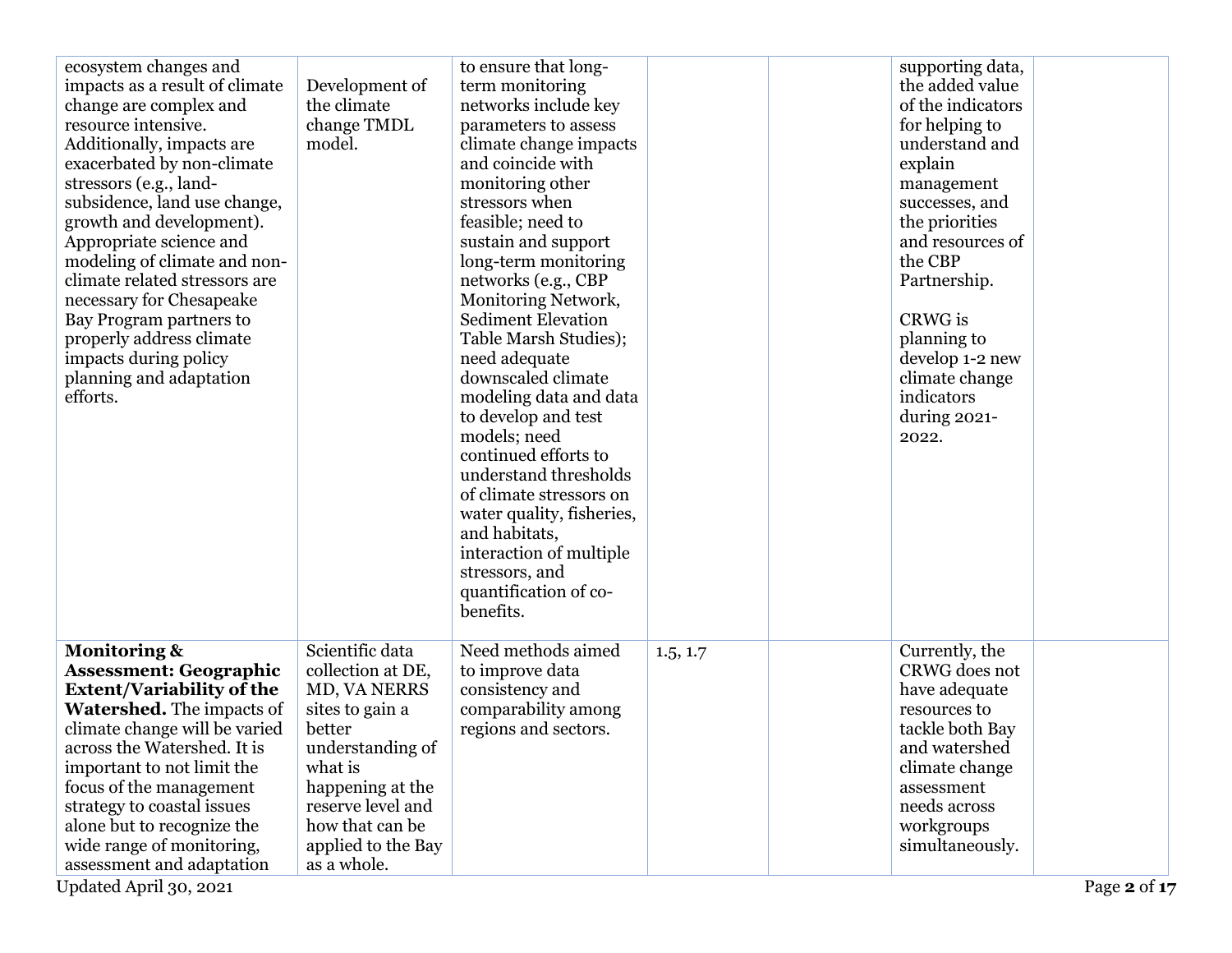| ecosystem changes and<br>impacts as a result of climate<br>change are complex and<br>resource intensive.<br>Additionally, impacts are<br>exacerbated by non-climate<br>stressors (e.g., land-<br>subsidence, land use change,<br>growth and development).<br>Appropriate science and<br>modeling of climate and non-<br>climate related stressors are<br>necessary for Chesapeake<br>Bay Program partners to<br>properly address climate<br>impacts during policy<br>planning and adaptation<br>efforts. | Development of<br>the climate<br>change TMDL<br>model.                                                                                                                                                            | to ensure that long-<br>term monitoring<br>networks include key<br>parameters to assess<br>climate change impacts<br>and coincide with<br>monitoring other<br>stressors when<br>feasible; need to<br>sustain and support<br>long-term monitoring<br>networks (e.g., CBP<br>Monitoring Network,<br><b>Sediment Elevation</b><br>Table Marsh Studies);<br>need adequate<br>downscaled climate<br>modeling data and data<br>to develop and test<br>models; need<br>continued efforts to<br>understand thresholds<br>of climate stressors on<br>water quality, fisheries,<br>and habitats,<br>interaction of multiple<br>stressors, and<br>quantification of co-<br>benefits. |          | supporting data,<br>the added value<br>of the indicators<br>for helping to<br>understand and<br>explain<br>management<br>successes, and<br>the priorities<br>and resources of<br>the CBP<br>Partnership.<br>CRWG is<br>planning to<br>develop 1-2 new<br>climate change<br>indicators<br>during 2021-<br>2022. |  |
|----------------------------------------------------------------------------------------------------------------------------------------------------------------------------------------------------------------------------------------------------------------------------------------------------------------------------------------------------------------------------------------------------------------------------------------------------------------------------------------------------------|-------------------------------------------------------------------------------------------------------------------------------------------------------------------------------------------------------------------|---------------------------------------------------------------------------------------------------------------------------------------------------------------------------------------------------------------------------------------------------------------------------------------------------------------------------------------------------------------------------------------------------------------------------------------------------------------------------------------------------------------------------------------------------------------------------------------------------------------------------------------------------------------------------|----------|----------------------------------------------------------------------------------------------------------------------------------------------------------------------------------------------------------------------------------------------------------------------------------------------------------------|--|
| <b>Monitoring &amp;</b><br><b>Assessment: Geographic</b><br><b>Extent/Variability of the</b><br><b>Watershed.</b> The impacts of<br>climate change will be varied<br>across the Watershed. It is<br>important to not limit the<br>focus of the management<br>strategy to coastal issues<br>alone but to recognize the<br>wide range of monitoring,<br>assessment and adaptation                                                                                                                          | Scientific data<br>collection at DE,<br>MD, VA NERRS<br>sites to gain a<br>better<br>understanding of<br>what is<br>happening at the<br>reserve level and<br>how that can be<br>applied to the Bay<br>as a whole. | Need methods aimed<br>to improve data<br>consistency and<br>comparability among<br>regions and sectors.                                                                                                                                                                                                                                                                                                                                                                                                                                                                                                                                                                   | 1.5, 1.7 | Currently, the<br>CRWG does not<br>have adequate<br>resources to<br>tackle both Bay<br>and watershed<br>climate change<br>assessment<br>needs across<br>workgroups<br>simultaneously.                                                                                                                          |  |

Updated April 30, 2021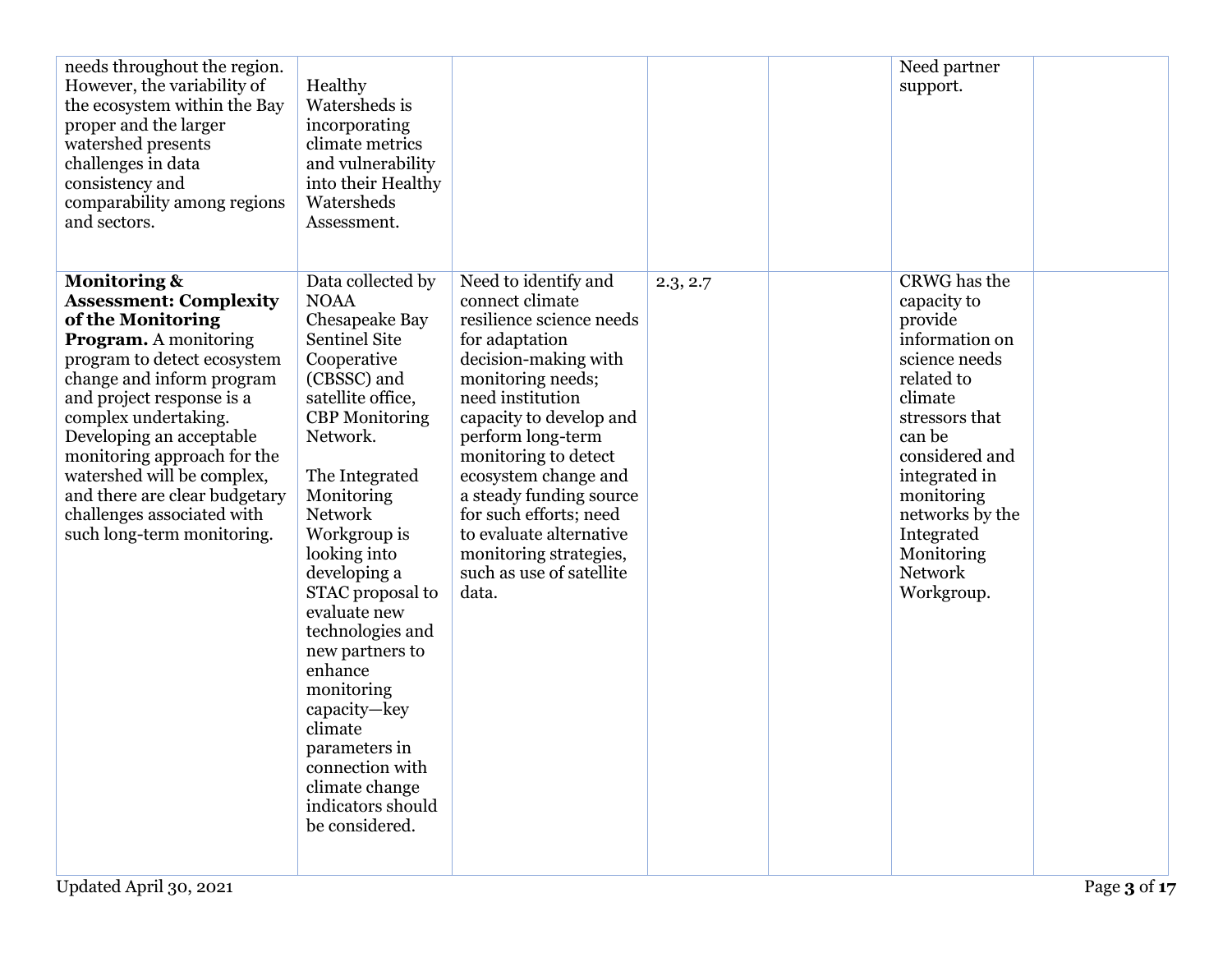| needs throughout the region.<br>However, the variability of<br>the ecosystem within the Bay<br>proper and the larger<br>watershed presents<br>challenges in data<br>consistency and<br>comparability among regions<br>and sectors.                                                                                                                                                                                   | Healthy<br>Watersheds is<br>incorporating<br>climate metrics<br>and vulnerability<br>into their Healthy<br>Watersheds<br>Assessment.                                                                                                                                                                                                                                                                                                                                                             |                                                                                                                                                                                                                                                                                                                                                                                                       |          | Need partner<br>support.                                                                                                                                                                                                                                       |  |
|----------------------------------------------------------------------------------------------------------------------------------------------------------------------------------------------------------------------------------------------------------------------------------------------------------------------------------------------------------------------------------------------------------------------|--------------------------------------------------------------------------------------------------------------------------------------------------------------------------------------------------------------------------------------------------------------------------------------------------------------------------------------------------------------------------------------------------------------------------------------------------------------------------------------------------|-------------------------------------------------------------------------------------------------------------------------------------------------------------------------------------------------------------------------------------------------------------------------------------------------------------------------------------------------------------------------------------------------------|----------|----------------------------------------------------------------------------------------------------------------------------------------------------------------------------------------------------------------------------------------------------------------|--|
| <b>Monitoring &amp;</b><br><b>Assessment: Complexity</b><br>of the Monitoring<br><b>Program.</b> A monitoring<br>program to detect ecosystem<br>change and inform program<br>and project response is a<br>complex undertaking.<br>Developing an acceptable<br>monitoring approach for the<br>watershed will be complex,<br>and there are clear budgetary<br>challenges associated with<br>such long-term monitoring. | Data collected by<br><b>NOAA</b><br>Chesapeake Bay<br><b>Sentinel Site</b><br>Cooperative<br>(CBSSC) and<br>satellite office,<br><b>CBP</b> Monitoring<br>Network.<br>The Integrated<br>Monitoring<br><b>Network</b><br>Workgroup is<br>looking into<br>developing a<br>STAC proposal to<br>evaluate new<br>technologies and<br>new partners to<br>enhance<br>monitoring<br>capacity-key<br>climate<br>parameters in<br>connection with<br>climate change<br>indicators should<br>be considered. | Need to identify and<br>connect climate<br>resilience science needs<br>for adaptation<br>decision-making with<br>monitoring needs;<br>need institution<br>capacity to develop and<br>perform long-term<br>monitoring to detect<br>ecosystem change and<br>a steady funding source<br>for such efforts; need<br>to evaluate alternative<br>monitoring strategies,<br>such as use of satellite<br>data. | 2.3, 2.7 | CRWG has the<br>capacity to<br>provide<br>information on<br>science needs<br>related to<br>climate<br>stressors that<br>can be<br>considered and<br>integrated in<br>monitoring<br>networks by the<br>Integrated<br>Monitoring<br><b>Network</b><br>Workgroup. |  |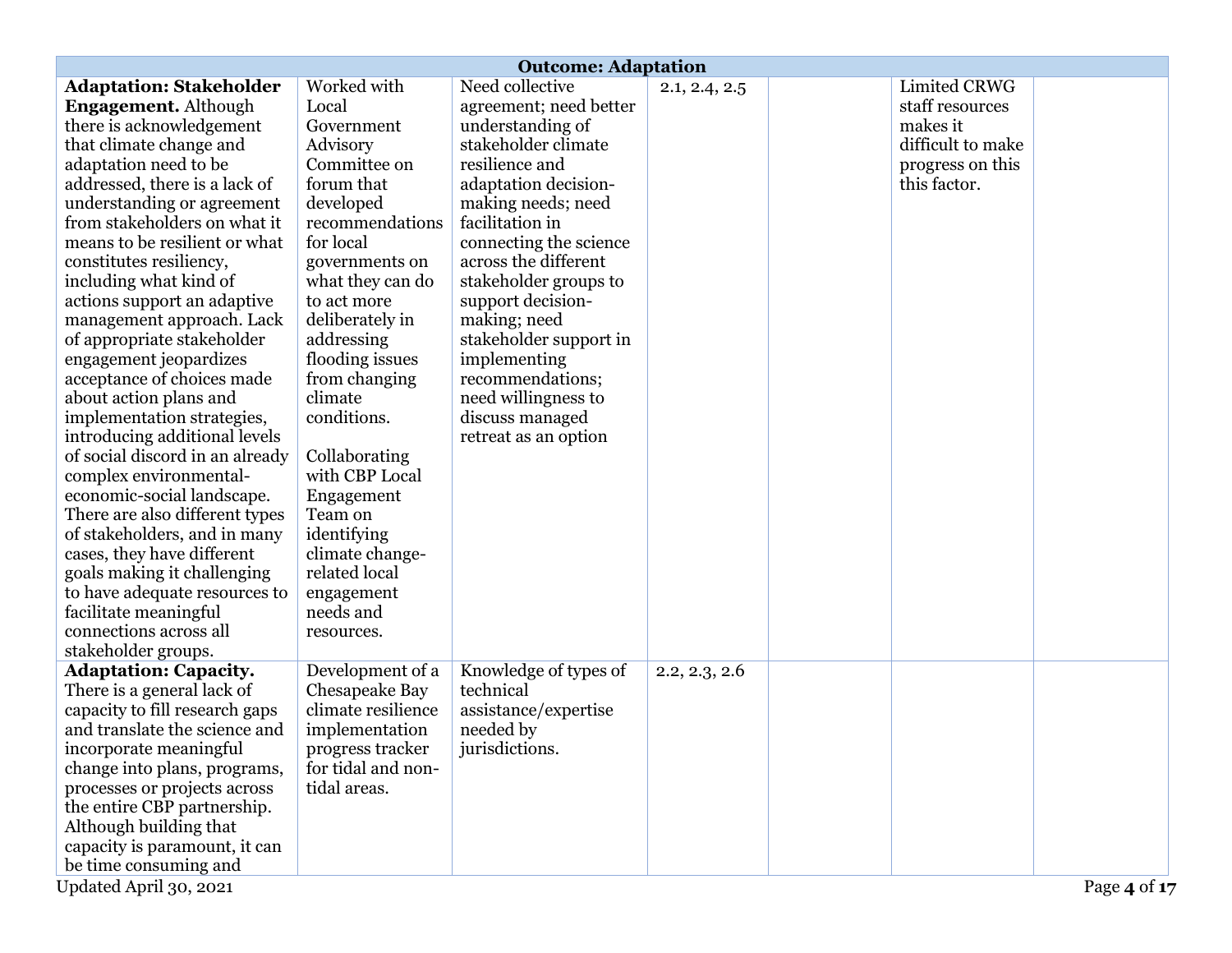|                                 | <b>Outcome: Adaptation</b> |                        |               |  |                   |              |
|---------------------------------|----------------------------|------------------------|---------------|--|-------------------|--------------|
| <b>Adaptation: Stakeholder</b>  | Worked with                | Need collective        | 2.1, 2.4, 2.5 |  | Limited CRWG      |              |
| Engagement. Although            | Local                      | agreement; need better |               |  | staff resources   |              |
| there is acknowledgement        | Government                 | understanding of       |               |  | makes it          |              |
| that climate change and         | Advisory                   | stakeholder climate    |               |  | difficult to make |              |
| adaptation need to be           | Committee on               | resilience and         |               |  | progress on this  |              |
| addressed, there is a lack of   | forum that                 | adaptation decision-   |               |  | this factor.      |              |
| understanding or agreement      | developed                  | making needs; need     |               |  |                   |              |
| from stakeholders on what it    | recommendations            | facilitation in        |               |  |                   |              |
| means to be resilient or what   | for local                  | connecting the science |               |  |                   |              |
| constitutes resiliency,         | governments on             | across the different   |               |  |                   |              |
| including what kind of          | what they can do           | stakeholder groups to  |               |  |                   |              |
| actions support an adaptive     | to act more                | support decision-      |               |  |                   |              |
| management approach. Lack       | deliberately in            | making; need           |               |  |                   |              |
| of appropriate stakeholder      | addressing                 | stakeholder support in |               |  |                   |              |
| engagement jeopardizes          | flooding issues            | implementing           |               |  |                   |              |
| acceptance of choices made      | from changing              | recommendations;       |               |  |                   |              |
| about action plans and          | climate                    | need willingness to    |               |  |                   |              |
| implementation strategies,      | conditions.                | discuss managed        |               |  |                   |              |
| introducing additional levels   |                            | retreat as an option   |               |  |                   |              |
| of social discord in an already | Collaborating              |                        |               |  |                   |              |
| complex environmental-          | with CBP Local             |                        |               |  |                   |              |
| economic-social landscape.      | Engagement                 |                        |               |  |                   |              |
| There are also different types  | Team on                    |                        |               |  |                   |              |
| of stakeholders, and in many    | identifying                |                        |               |  |                   |              |
| cases, they have different      | climate change-            |                        |               |  |                   |              |
| goals making it challenging     | related local              |                        |               |  |                   |              |
| to have adequate resources to   | engagement                 |                        |               |  |                   |              |
| facilitate meaningful           | needs and                  |                        |               |  |                   |              |
| connections across all          | resources.                 |                        |               |  |                   |              |
| stakeholder groups.             |                            |                        |               |  |                   |              |
| <b>Adaptation: Capacity.</b>    | Development of a           | Knowledge of types of  | 2.2, 2.3, 2.6 |  |                   |              |
| There is a general lack of      | Chesapeake Bay             | technical              |               |  |                   |              |
| capacity to fill research gaps  | climate resilience         | assistance/expertise   |               |  |                   |              |
| and translate the science and   | implementation             | needed by              |               |  |                   |              |
| incorporate meaningful          | progress tracker           | jurisdictions.         |               |  |                   |              |
| change into plans, programs,    | for tidal and non-         |                        |               |  |                   |              |
| processes or projects across    | tidal areas.               |                        |               |  |                   |              |
| the entire CBP partnership.     |                            |                        |               |  |                   |              |
| Although building that          |                            |                        |               |  |                   |              |
| capacity is paramount, it can   |                            |                        |               |  |                   |              |
| be time consuming and           |                            |                        |               |  |                   |              |
| Updated April 30, 2021          |                            |                        |               |  |                   | Page 4 of 17 |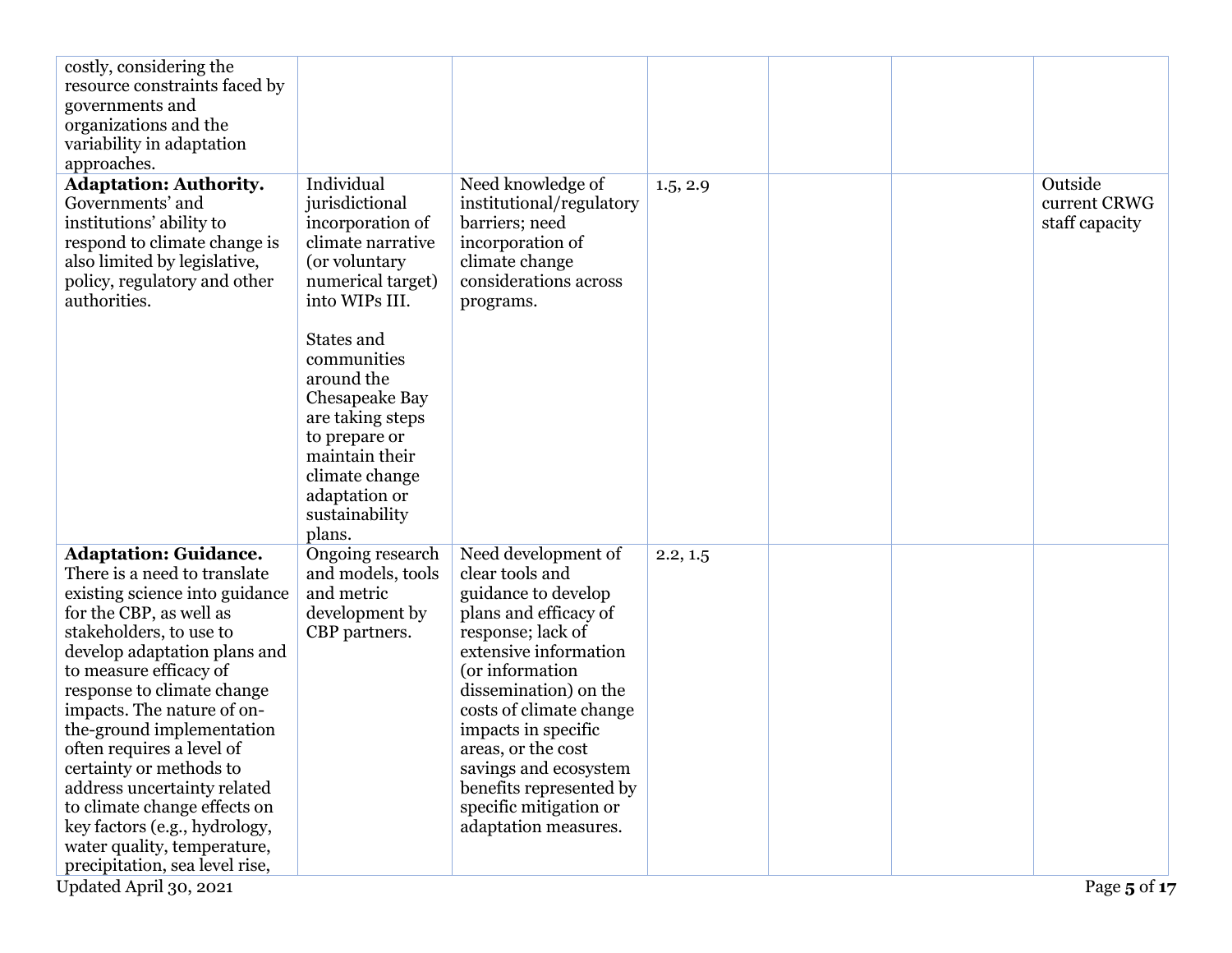| costly, considering the<br>resource constraints faced by<br>governments and<br>organizations and the                                                                                                                                                                                                                                                                                                                                                                                                                                                       |                                                                                                                                                                                 |                                                                                                                                                                                                                                                                                                                                                                |          |  |                                           |
|------------------------------------------------------------------------------------------------------------------------------------------------------------------------------------------------------------------------------------------------------------------------------------------------------------------------------------------------------------------------------------------------------------------------------------------------------------------------------------------------------------------------------------------------------------|---------------------------------------------------------------------------------------------------------------------------------------------------------------------------------|----------------------------------------------------------------------------------------------------------------------------------------------------------------------------------------------------------------------------------------------------------------------------------------------------------------------------------------------------------------|----------|--|-------------------------------------------|
| variability in adaptation<br>approaches.                                                                                                                                                                                                                                                                                                                                                                                                                                                                                                                   |                                                                                                                                                                                 |                                                                                                                                                                                                                                                                                                                                                                |          |  |                                           |
| <b>Adaptation: Authority.</b><br>Governments' and<br>institutions' ability to<br>respond to climate change is<br>also limited by legislative,<br>policy, regulatory and other<br>authorities.                                                                                                                                                                                                                                                                                                                                                              | Individual<br>jurisdictional<br>incorporation of<br>climate narrative<br>(or voluntary<br>numerical target)<br>into WIPs III.                                                   | Need knowledge of<br>institutional/regulatory<br>barriers; need<br>incorporation of<br>climate change<br>considerations across<br>programs.                                                                                                                                                                                                                    | 1.5, 2.9 |  | Outside<br>current CRWG<br>staff capacity |
|                                                                                                                                                                                                                                                                                                                                                                                                                                                                                                                                                            | States and<br>communities<br>around the<br>Chesapeake Bay<br>are taking steps<br>to prepare or<br>maintain their<br>climate change<br>adaptation or<br>sustainability<br>plans. |                                                                                                                                                                                                                                                                                                                                                                |          |  |                                           |
| <b>Adaptation: Guidance.</b><br>There is a need to translate<br>existing science into guidance<br>for the CBP, as well as<br>stakeholders, to use to<br>develop adaptation plans and<br>to measure efficacy of<br>response to climate change<br>impacts. The nature of on-<br>the-ground implementation<br>often requires a level of<br>certainty or methods to<br>address uncertainty related<br>to climate change effects on<br>key factors (e.g., hydrology,<br>water quality, temperature,<br>precipitation, sea level rise,<br>Updated April 30, 2021 | Ongoing research<br>and models, tools<br>and metric<br>development by<br>CBP partners.                                                                                          | Need development of<br>clear tools and<br>guidance to develop<br>plans and efficacy of<br>response; lack of<br>extensive information<br>(or information<br>dissemination) on the<br>costs of climate change<br>impacts in specific<br>areas, or the cost<br>savings and ecosystem<br>benefits represented by<br>specific mitigation or<br>adaptation measures. | 2.2, 1.5 |  | Page 5 of 17                              |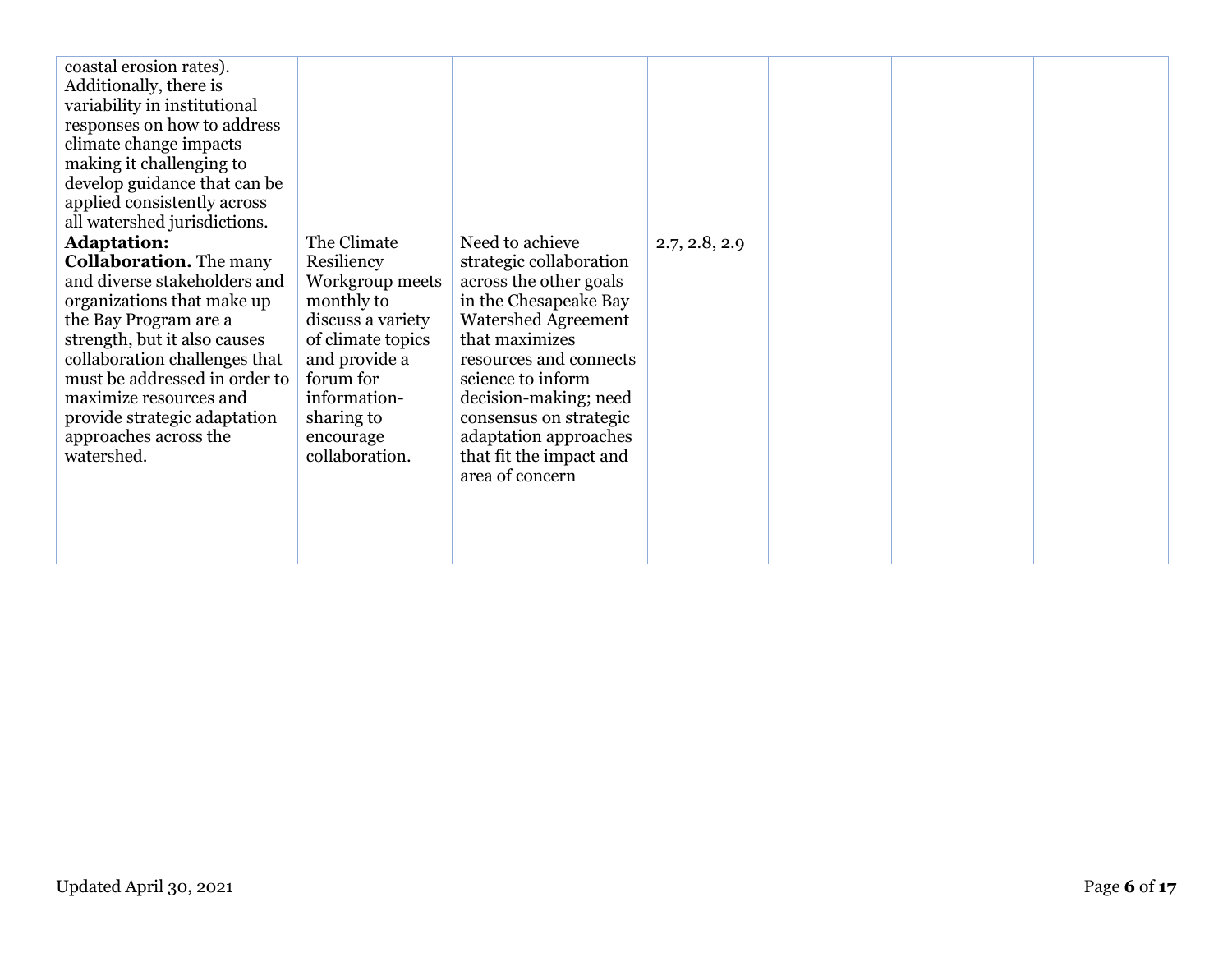| coastal erosion rates).<br>Additionally, there is<br>variability in institutional<br>responses on how to address<br>climate change impacts<br>making it challenging to<br>develop guidance that can be<br>applied consistently across<br>all watershed jurisdictions.                                                                          |                                                                                                                                                                                                 |                                                                                                                                                                                                                                                                                                                        |               |  |  |
|------------------------------------------------------------------------------------------------------------------------------------------------------------------------------------------------------------------------------------------------------------------------------------------------------------------------------------------------|-------------------------------------------------------------------------------------------------------------------------------------------------------------------------------------------------|------------------------------------------------------------------------------------------------------------------------------------------------------------------------------------------------------------------------------------------------------------------------------------------------------------------------|---------------|--|--|
| <b>Adaptation:</b><br><b>Collaboration.</b> The many<br>and diverse stakeholders and<br>organizations that make up<br>the Bay Program are a<br>strength, but it also causes<br>collaboration challenges that<br>must be addressed in order to<br>maximize resources and<br>provide strategic adaptation<br>approaches across the<br>watershed. | The Climate<br>Resiliency<br>Workgroup meets<br>monthly to<br>discuss a variety<br>of climate topics<br>and provide a<br>forum for<br>information-<br>sharing to<br>encourage<br>collaboration. | Need to achieve<br>strategic collaboration<br>across the other goals<br>in the Chesapeake Bay<br><b>Watershed Agreement</b><br>that maximizes<br>resources and connects<br>science to inform<br>decision-making; need<br>consensus on strategic<br>adaptation approaches<br>that fit the impact and<br>area of concern | 2.7, 2.8, 2.9 |  |  |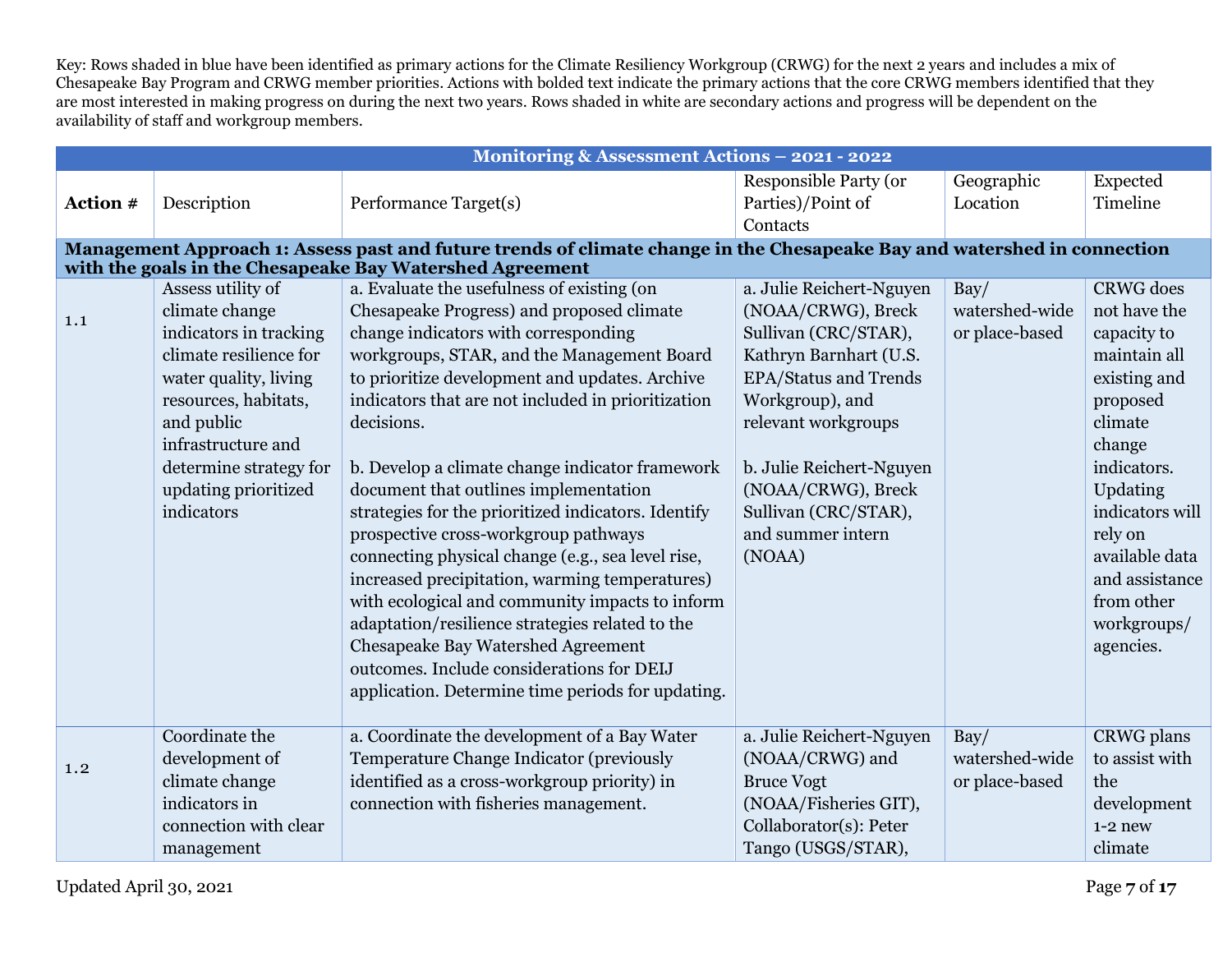Key: Rows shaded in blue have been identified as primary actions for the Climate Resiliency Workgroup (CRWG) for the next 2 years and includes a mix of Chesapeake Bay Program and CRWG member priorities. Actions with bolded text indicate the primary actions that the core CRWG members identified that they are most interested in making progress on during the next two years. Rows shaded in white are secondary actions and progress will be dependent on the availability of staff and workgroup members.

|          |                        | Monitoring & Assessment Actions - 2021 - 2022                                                                            |                               |                        |                      |
|----------|------------------------|--------------------------------------------------------------------------------------------------------------------------|-------------------------------|------------------------|----------------------|
|          |                        |                                                                                                                          | <b>Responsible Party (or</b>  | Geographic<br>Location | Expected<br>Timeline |
| Action # | Description            | Performance Target(s)                                                                                                    | Parties)/Point of<br>Contacts |                        |                      |
|          |                        | Management Approach 1: Assess past and future trends of climate change in the Chesapeake Bay and watershed in connection |                               |                        |                      |
|          |                        | with the goals in the Chesapeake Bay Watershed Agreement                                                                 |                               |                        |                      |
|          | Assess utility of      | a. Evaluate the usefulness of existing (on                                                                               | a. Julie Reichert-Nguyen      | $\text{Bay}/$          | <b>CRWG</b> does     |
| 1.1      | climate change         | Chesapeake Progress) and proposed climate                                                                                | (NOAA/CRWG), Breck            | watershed-wide         | not have the         |
|          | indicators in tracking | change indicators with corresponding                                                                                     | Sullivan (CRC/STAR),          | or place-based         | capacity to          |
|          | climate resilience for | workgroups, STAR, and the Management Board                                                                               | Kathryn Barnhart (U.S.        |                        | maintain all         |
|          | water quality, living  | to prioritize development and updates. Archive                                                                           | <b>EPA/Status and Trends</b>  |                        | existing and         |
|          | resources, habitats,   | indicators that are not included in prioritization                                                                       | Workgroup), and               |                        | proposed             |
|          | and public             | decisions.                                                                                                               | relevant workgroups           |                        | climate              |
|          | infrastructure and     |                                                                                                                          |                               |                        | change               |
|          | determine strategy for | b. Develop a climate change indicator framework                                                                          | b. Julie Reichert-Nguyen      |                        | indicators.          |
|          | updating prioritized   | document that outlines implementation                                                                                    | (NOAA/CRWG), Breck            |                        | Updating             |
|          | indicators             | strategies for the prioritized indicators. Identify                                                                      | Sullivan (CRC/STAR),          |                        | indicators will      |
|          |                        | prospective cross-workgroup pathways                                                                                     | and summer intern             |                        | rely on              |
|          |                        | connecting physical change (e.g., sea level rise,                                                                        | (NOAA)                        |                        | available data       |
|          |                        | increased precipitation, warming temperatures)                                                                           |                               |                        | and assistance       |
|          |                        | with ecological and community impacts to inform                                                                          |                               |                        | from other           |
|          |                        | adaptation/resilience strategies related to the                                                                          |                               |                        | workgroups/          |
|          |                        | <b>Chesapeake Bay Watershed Agreement</b><br>outcomes. Include considerations for DEIJ                                   |                               |                        | agencies.            |
|          |                        | application. Determine time periods for updating.                                                                        |                               |                        |                      |
|          |                        |                                                                                                                          |                               |                        |                      |
|          | Coordinate the         | a. Coordinate the development of a Bay Water                                                                             | a. Julie Reichert-Nguyen      | Bay/                   | CRWG plans           |
| 1.2      | development of         | Temperature Change Indicator (previously                                                                                 | (NOAA/CRWG) and               | watershed-wide         | to assist with       |
|          | climate change         | identified as a cross-workgroup priority) in                                                                             | <b>Bruce Vogt</b>             | or place-based         | the                  |
|          | indicators in          | connection with fisheries management.                                                                                    | (NOAA/Fisheries GIT),         |                        | development          |
|          | connection with clear  |                                                                                                                          | Collaborator(s): Peter        |                        | $1-2$ new            |
|          | management             |                                                                                                                          | Tango (USGS/STAR),            |                        | climate              |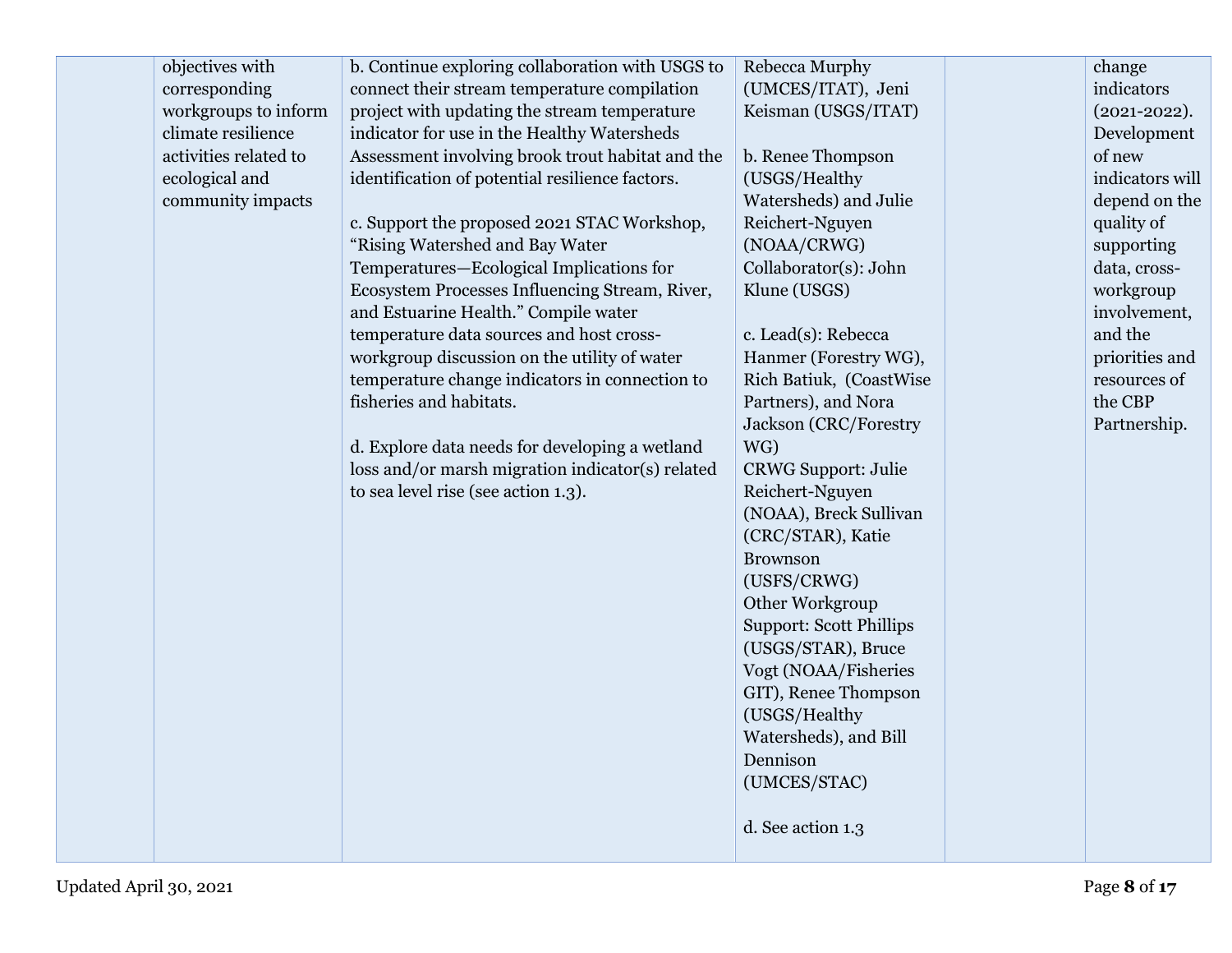| objectives with       | b. Continue exploring collaboration with USGS to | Rebecca Murphy                 | change            |
|-----------------------|--------------------------------------------------|--------------------------------|-------------------|
| corresponding         | connect their stream temperature compilation     | (UMCES/ITAT), Jeni             | indicators        |
| workgroups to inform  | project with updating the stream temperature     | Keisman (USGS/ITAT)            | $(2021 - 2022)$ . |
| climate resilience    | indicator for use in the Healthy Watersheds      |                                | Development       |
| activities related to | Assessment involving brook trout habitat and the | b. Renee Thompson              | of new            |
| ecological and        | identification of potential resilience factors.  | (USGS/Healthy                  | indicators will   |
| community impacts     |                                                  | Watersheds) and Julie          | depend on the     |
|                       | c. Support the proposed 2021 STAC Workshop,      | Reichert-Nguyen                | quality of        |
|                       | "Rising Watershed and Bay Water                  | (NOAA/CRWG)                    | supporting        |
|                       | Temperatures-Ecological Implications for         | Collaborator(s): John          | data, cross-      |
|                       | Ecosystem Processes Influencing Stream, River,   | Klune (USGS)                   | workgroup         |
|                       | and Estuarine Health." Compile water             |                                | involvement,      |
|                       | temperature data sources and host cross-         | c. Lead(s): Rebecca            | and the           |
|                       | workgroup discussion on the utility of water     | Hanmer (Forestry WG),          | priorities and    |
|                       | temperature change indicators in connection to   | Rich Batiuk, (CoastWise        | resources of      |
|                       | fisheries and habitats.                          | Partners), and Nora            | the CBP           |
|                       |                                                  | <b>Jackson</b> (CRC/Forestry   | Partnership.      |
|                       | d. Explore data needs for developing a wetland   | WG)                            |                   |
|                       | loss and/or marsh migration indicator(s) related | <b>CRWG Support: Julie</b>     |                   |
|                       | to sea level rise (see action 1.3).              | Reichert-Nguyen                |                   |
|                       |                                                  | (NOAA), Breck Sullivan         |                   |
|                       |                                                  | (CRC/STAR), Katie              |                   |
|                       |                                                  | <b>Brownson</b>                |                   |
|                       |                                                  | (USFS/CRWG)                    |                   |
|                       |                                                  | Other Workgroup                |                   |
|                       |                                                  | <b>Support: Scott Phillips</b> |                   |
|                       |                                                  | (USGS/STAR), Bruce             |                   |
|                       |                                                  | Vogt (NOAA/Fisheries           |                   |
|                       |                                                  | GIT), Renee Thompson           |                   |
|                       |                                                  | (USGS/Healthy                  |                   |
|                       |                                                  | Watersheds), and Bill          |                   |
|                       |                                                  | Dennison                       |                   |
|                       |                                                  | (UMCES/STAC)                   |                   |
|                       |                                                  |                                |                   |
|                       |                                                  | d. See action 1.3              |                   |
|                       |                                                  |                                |                   |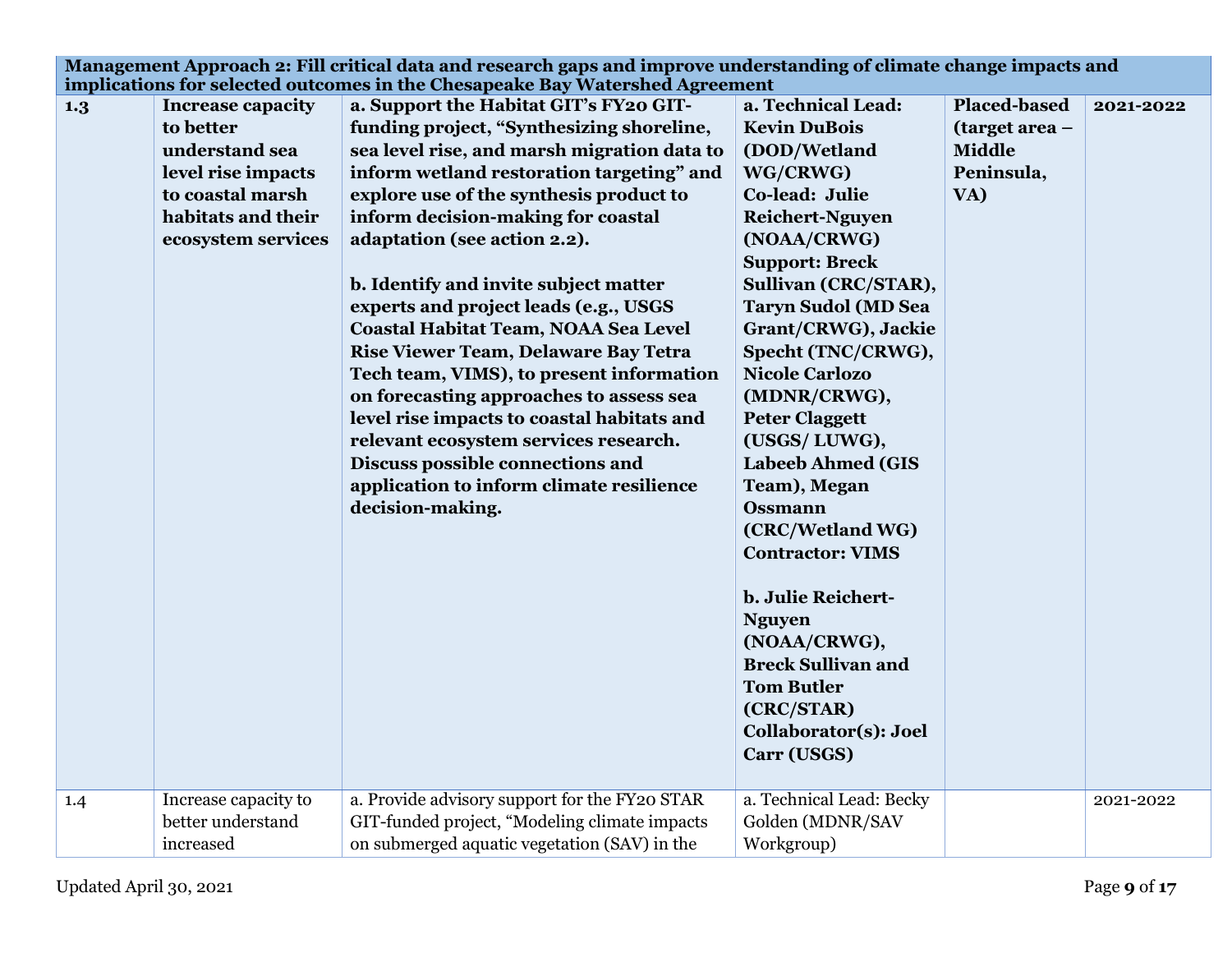|     |                                                                                                                                               | Management Approach 2: Fill critical data and research gaps and improve understanding of climate change impacts and                                                                                                                                                                                                                                                                                                                                                                                                                                                                                                                                                                                                                                                                                                                  |                                                                                                                                                                                                                                                                                                                                                                                                                                                                                                                                                                                                                            |                                                                             |           |
|-----|-----------------------------------------------------------------------------------------------------------------------------------------------|--------------------------------------------------------------------------------------------------------------------------------------------------------------------------------------------------------------------------------------------------------------------------------------------------------------------------------------------------------------------------------------------------------------------------------------------------------------------------------------------------------------------------------------------------------------------------------------------------------------------------------------------------------------------------------------------------------------------------------------------------------------------------------------------------------------------------------------|----------------------------------------------------------------------------------------------------------------------------------------------------------------------------------------------------------------------------------------------------------------------------------------------------------------------------------------------------------------------------------------------------------------------------------------------------------------------------------------------------------------------------------------------------------------------------------------------------------------------------|-----------------------------------------------------------------------------|-----------|
| 1.3 | <b>Increase capacity</b><br>to better<br>understand sea<br>level rise impacts<br>to coastal marsh<br>habitats and their<br>ecosystem services | implications for selected outcomes in the Chesapeake Bay Watershed Agreement<br>a. Support the Habitat GIT's FY20 GIT-<br>funding project, "Synthesizing shoreline,<br>sea level rise, and marsh migration data to<br>inform wetland restoration targeting" and<br>explore use of the synthesis product to<br>inform decision-making for coastal<br>adaptation (see action 2.2).<br>b. Identify and invite subject matter<br>experts and project leads (e.g., USGS<br>Coastal Habitat Team, NOAA Sea Level<br>Rise Viewer Team, Delaware Bay Tetra<br>Tech team, VIMS), to present information<br>on forecasting approaches to assess sea<br>level rise impacts to coastal habitats and<br>relevant ecosystem services research.<br>Discuss possible connections and<br>application to inform climate resilience<br>decision-making. | a. Technical Lead:<br><b>Kevin DuBois</b><br>(DOD/Wetland<br>WG/CRWG)<br>Co-lead: Julie<br><b>Reichert-Nguyen</b><br>(NOAA/CRWG)<br><b>Support: Breck</b><br>Sullivan (CRC/STAR),<br><b>Taryn Sudol (MD Sea</b><br>Grant/CRWG), Jackie<br>Specht (TNC/CRWG),<br><b>Nicole Carlozo</b><br>(MDNR/CRWG),<br><b>Peter Claggett</b><br>(USGS/LUWG),<br><b>Labeeb Ahmed (GIS</b><br>Team), Megan<br><b>Ossmann</b><br>(CRC/Wetland WG)<br><b>Contractor: VIMS</b><br>b. Julie Reichert-<br><b>Nguyen</b><br>(NOAA/CRWG),<br><b>Breck Sullivan and</b><br><b>Tom Butler</b><br>(CRC/STAR)<br>Collaborator(s): Joel<br>Carr (USGS) | <b>Placed-based</b><br>(target area -<br><b>Middle</b><br>Peninsula,<br>VA) | 2021-2022 |
| 1.4 | Increase capacity to<br>better understand<br>increased                                                                                        | a. Provide advisory support for the FY20 STAR<br>GIT-funded project, "Modeling climate impacts<br>on submerged aquatic vegetation (SAV) in the                                                                                                                                                                                                                                                                                                                                                                                                                                                                                                                                                                                                                                                                                       | a. Technical Lead: Becky<br>Golden (MDNR/SAV<br>Workgroup)                                                                                                                                                                                                                                                                                                                                                                                                                                                                                                                                                                 |                                                                             | 2021-2022 |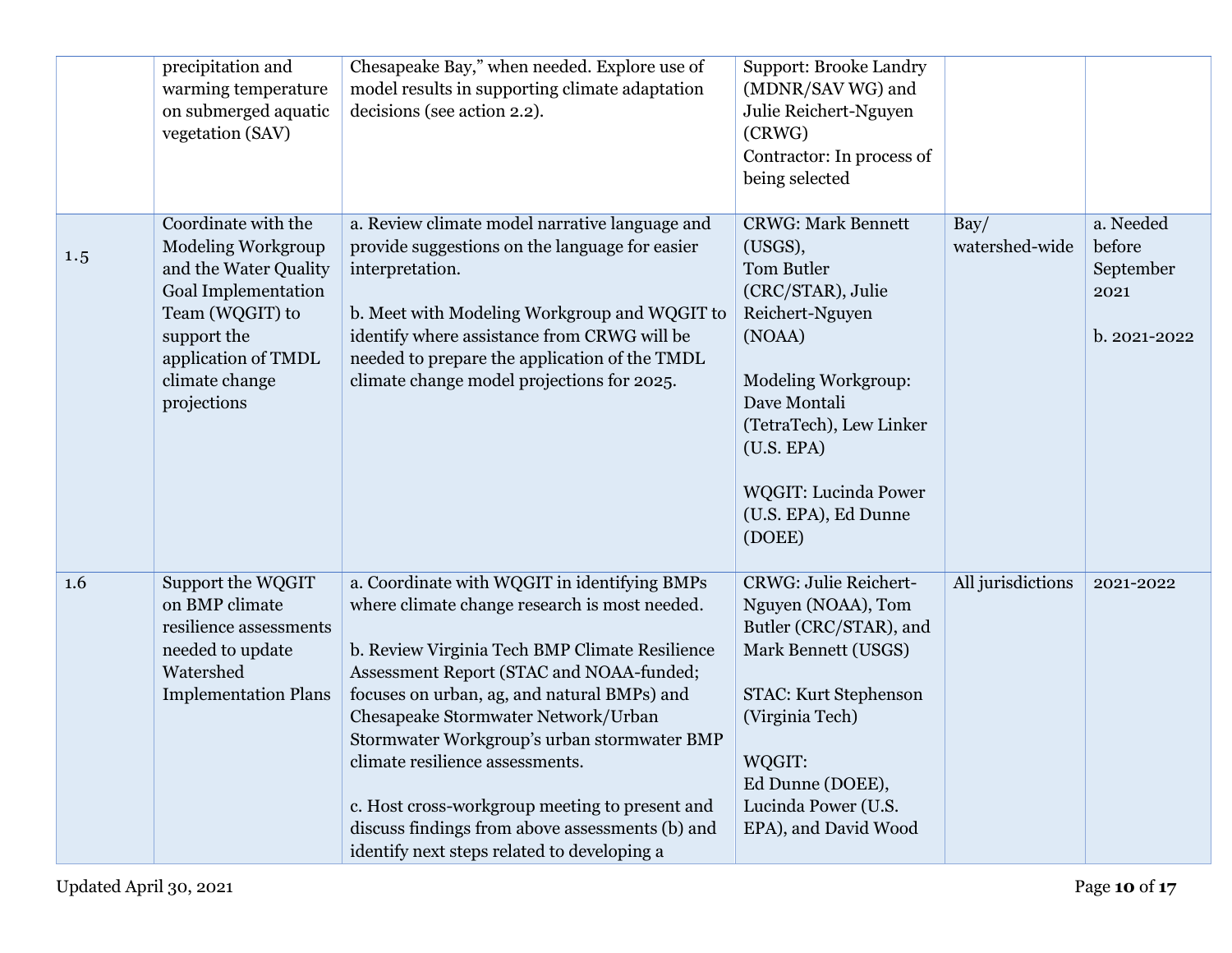|     | precipitation and<br>warming temperature<br>on submerged aquatic<br>vegetation (SAV)                                                                                                              | Chesapeake Bay," when needed. Explore use of<br>model results in supporting climate adaptation<br>decisions (see action 2.2).                                                                                                                                                                                                                                                                                                                                                                                           | <b>Support: Brooke Landry</b><br>(MDNR/SAV WG) and<br>Julie Reichert-Nguyen<br>(CRWG)<br>Contractor: In process of<br>being selected                                                                                                                  |                        |                                                          |
|-----|---------------------------------------------------------------------------------------------------------------------------------------------------------------------------------------------------|-------------------------------------------------------------------------------------------------------------------------------------------------------------------------------------------------------------------------------------------------------------------------------------------------------------------------------------------------------------------------------------------------------------------------------------------------------------------------------------------------------------------------|-------------------------------------------------------------------------------------------------------------------------------------------------------------------------------------------------------------------------------------------------------|------------------------|----------------------------------------------------------|
| 1.5 | Coordinate with the<br><b>Modeling Workgroup</b><br>and the Water Quality<br><b>Goal Implementation</b><br>Team (WQGIT) to<br>support the<br>application of TMDL<br>climate change<br>projections | a. Review climate model narrative language and<br>provide suggestions on the language for easier<br>interpretation.<br>b. Meet with Modeling Workgroup and WQGIT to<br>identify where assistance from CRWG will be<br>needed to prepare the application of the TMDL<br>climate change model projections for 2025.                                                                                                                                                                                                       | <b>CRWG: Mark Bennett</b><br>(USGS),<br>Tom Butler<br>(CRC/STAR), Julie<br>Reichert-Nguyen<br>(NOAA)<br>Modeling Workgroup:<br>Dave Montali<br>(TetraTech), Lew Linker<br>(U.S. EPA)<br><b>WQGIT: Lucinda Power</b><br>(U.S. EPA), Ed Dunne<br>(DOEE) | Bay/<br>watershed-wide | a. Needed<br>before<br>September<br>2021<br>b. 2021-2022 |
| 1.6 | Support the WQGIT<br>on BMP climate<br>resilience assessments<br>needed to update<br>Watershed<br><b>Implementation Plans</b>                                                                     | a. Coordinate with WQGIT in identifying BMPs<br>where climate change research is most needed.<br>b. Review Virginia Tech BMP Climate Resilience<br>Assessment Report (STAC and NOAA-funded;<br>focuses on urban, ag, and natural BMPs) and<br>Chesapeake Stormwater Network/Urban<br>Stormwater Workgroup's urban stormwater BMP<br>climate resilience assessments.<br>c. Host cross-workgroup meeting to present and<br>discuss findings from above assessments (b) and<br>identify next steps related to developing a | <b>CRWG: Julie Reichert-</b><br>Nguyen (NOAA), Tom<br>Butler (CRC/STAR), and<br>Mark Bennett (USGS)<br>STAC: Kurt Stephenson<br>(Virginia Tech)<br>WQGIT:<br>Ed Dunne (DOEE),<br>Lucinda Power (U.S.<br>EPA), and David Wood                          | All jurisdictions      | 2021-2022                                                |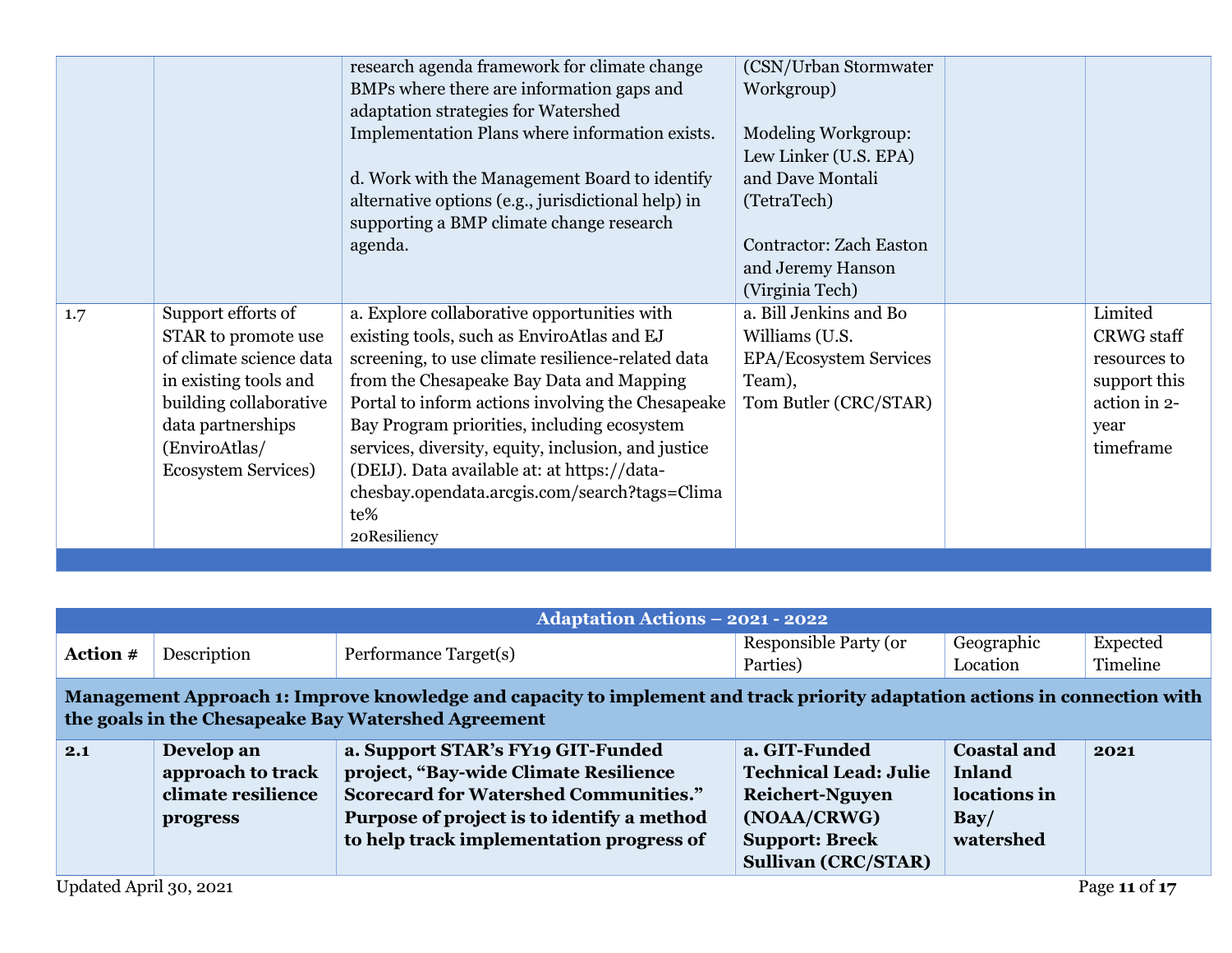|     |                             | research agenda framework for climate change        | (CSN/Urban Stormwater)         |                   |
|-----|-----------------------------|-----------------------------------------------------|--------------------------------|-------------------|
|     |                             | BMPs where there are information gaps and           | Workgroup)                     |                   |
|     |                             | adaptation strategies for Watershed                 |                                |                   |
|     |                             | Implementation Plans where information exists.      | <b>Modeling Workgroup:</b>     |                   |
|     |                             |                                                     | Lew Linker (U.S. EPA)          |                   |
|     |                             | d. Work with the Management Board to identify       | and Dave Montali               |                   |
|     |                             | alternative options (e.g., jurisdictional help) in  | (TetraTech)                    |                   |
|     |                             | supporting a BMP climate change research            |                                |                   |
|     |                             | agenda.                                             | <b>Contractor: Zach Easton</b> |                   |
|     |                             |                                                     | and Jeremy Hanson              |                   |
|     |                             |                                                     | (Virginia Tech)                |                   |
| 1.7 | Support efforts of          | a. Explore collaborative opportunities with         | a. Bill Jenkins and Bo         | Limited           |
|     | STAR to promote use         | existing tools, such as EnviroAtlas and EJ          | Williams (U.S.                 | <b>CRWG</b> staff |
|     | of climate science data     | screening, to use climate resilience-related data   | EPA/Ecosystem Services         | resources to      |
|     | in existing tools and       | from the Chesapeake Bay Data and Mapping            | Team),                         | support this      |
|     | building collaborative      | Portal to inform actions involving the Chesapeake   | Tom Butler (CRC/STAR)          | action in 2-      |
|     | data partnerships           | Bay Program priorities, including ecosystem         |                                | year              |
|     | (EnviroAtlas/               | services, diversity, equity, inclusion, and justice |                                | timeframe         |
|     | <b>Ecosystem Services</b> ) | (DEIJ). Data available at: at https://data-         |                                |                   |
|     |                             | chesbay.opendata.arcgis.com/search?tags=Clima       |                                |                   |
|     |                             | te%                                                 |                                |                   |
|     |                             | 20Resiliency                                        |                                |                   |
|     |                             |                                                     |                                |                   |

|                 |                                                                   | <b>Adaptation Actions - 2021 - 2022</b>                                                                                                                                                                              |                                                                                                                                               |                                                                                |                      |
|-----------------|-------------------------------------------------------------------|----------------------------------------------------------------------------------------------------------------------------------------------------------------------------------------------------------------------|-----------------------------------------------------------------------------------------------------------------------------------------------|--------------------------------------------------------------------------------|----------------------|
| <b>Action</b> # | Description                                                       | Performance Target(s)                                                                                                                                                                                                | Responsible Party (or<br>Parties)                                                                                                             | Geographic<br>Location                                                         | Expected<br>Timeline |
|                 |                                                                   | Management Approach 1: Improve knowledge and capacity to implement and track priority adaptation actions in connection with<br>the goals in the Chesapeake Bay Watershed Agreement                                   |                                                                                                                                               |                                                                                |                      |
| 2.1             | Develop an<br>approach to track<br>climate resilience<br>progress | a. Support STAR's FY19 GIT-Funded<br>project, "Bay-wide Climate Resilience<br><b>Scorecard for Watershed Communities."</b><br>Purpose of project is to identify a method<br>to help track implementation progress of | a. GIT-Funded<br><b>Technical Lead: Julie</b><br><b>Reichert-Nguyen</b><br>(NOAA/CRWG)<br><b>Support: Breck</b><br><b>Sullivan (CRC/STAR)</b> | <b>Coastal and</b><br><b>Inland</b><br>locations in<br>$\bf Bay/$<br>watershed | 2021                 |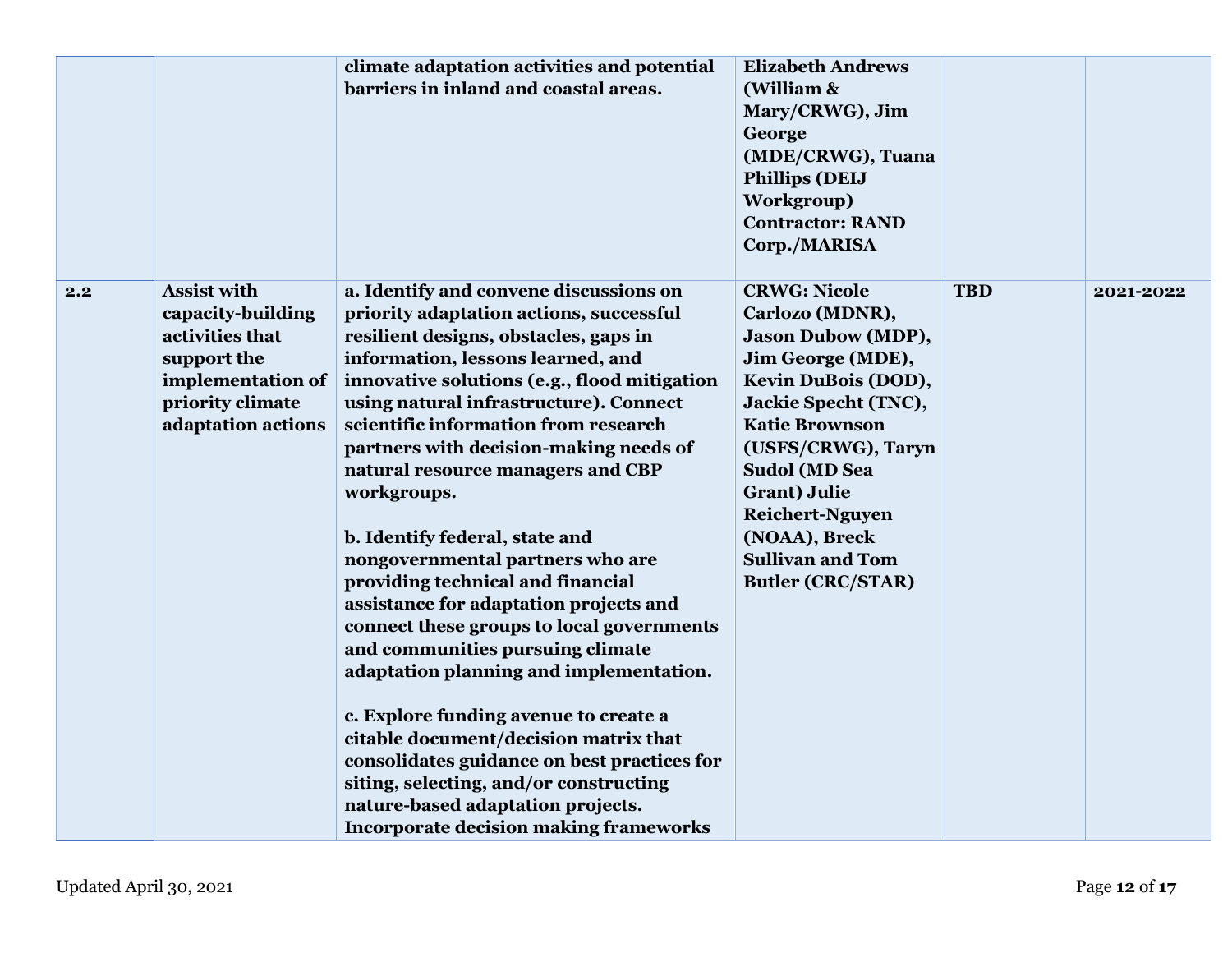|     |                                                                                                                                          | climate adaptation activities and potential<br>barriers in inland and coastal areas.                                                                                                                                                                                                                                                                                                                                                                                                                                                                                                                                                                                                                                                                                                                                                                                                                                                              | <b>Elizabeth Andrews</b><br>(William &<br>Mary/CRWG), Jim<br>George<br>(MDE/CRWG), Tuana<br><b>Phillips (DEIJ</b><br>Workgroup)<br><b>Contractor: RAND</b><br>Corp./MARISA                                                                                                                                                               |            |           |
|-----|------------------------------------------------------------------------------------------------------------------------------------------|---------------------------------------------------------------------------------------------------------------------------------------------------------------------------------------------------------------------------------------------------------------------------------------------------------------------------------------------------------------------------------------------------------------------------------------------------------------------------------------------------------------------------------------------------------------------------------------------------------------------------------------------------------------------------------------------------------------------------------------------------------------------------------------------------------------------------------------------------------------------------------------------------------------------------------------------------|------------------------------------------------------------------------------------------------------------------------------------------------------------------------------------------------------------------------------------------------------------------------------------------------------------------------------------------|------------|-----------|
| 2.2 | <b>Assist with</b><br>capacity-building<br>activities that<br>support the<br>implementation of<br>priority climate<br>adaptation actions | a. Identify and convene discussions on<br>priority adaptation actions, successful<br>resilient designs, obstacles, gaps in<br>information, lessons learned, and<br>innovative solutions (e.g., flood mitigation<br>using natural infrastructure). Connect<br>scientific information from research<br>partners with decision-making needs of<br>natural resource managers and CBP<br>workgroups.<br>b. Identify federal, state and<br>nongovernmental partners who are<br>providing technical and financial<br>assistance for adaptation projects and<br>connect these groups to local governments<br>and communities pursuing climate<br>adaptation planning and implementation.<br>c. Explore funding avenue to create a<br>citable document/decision matrix that<br>consolidates guidance on best practices for<br>siting, selecting, and/or constructing<br>nature-based adaptation projects.<br><b>Incorporate decision making frameworks</b> | <b>CRWG: Nicole</b><br>Carlozo (MDNR),<br><b>Jason Dubow (MDP),</b><br>Jim George (MDE),<br>Kevin DuBois (DOD),<br>Jackie Specht (TNC),<br><b>Katie Brownson</b><br>(USFS/CRWG), Taryn<br><b>Sudol (MD Sea</b><br><b>Grant</b> ) Julie<br><b>Reichert-Nguyen</b><br>(NOAA), Breck<br><b>Sullivan and Tom</b><br><b>Butler (CRC/STAR)</b> | <b>TBD</b> | 2021-2022 |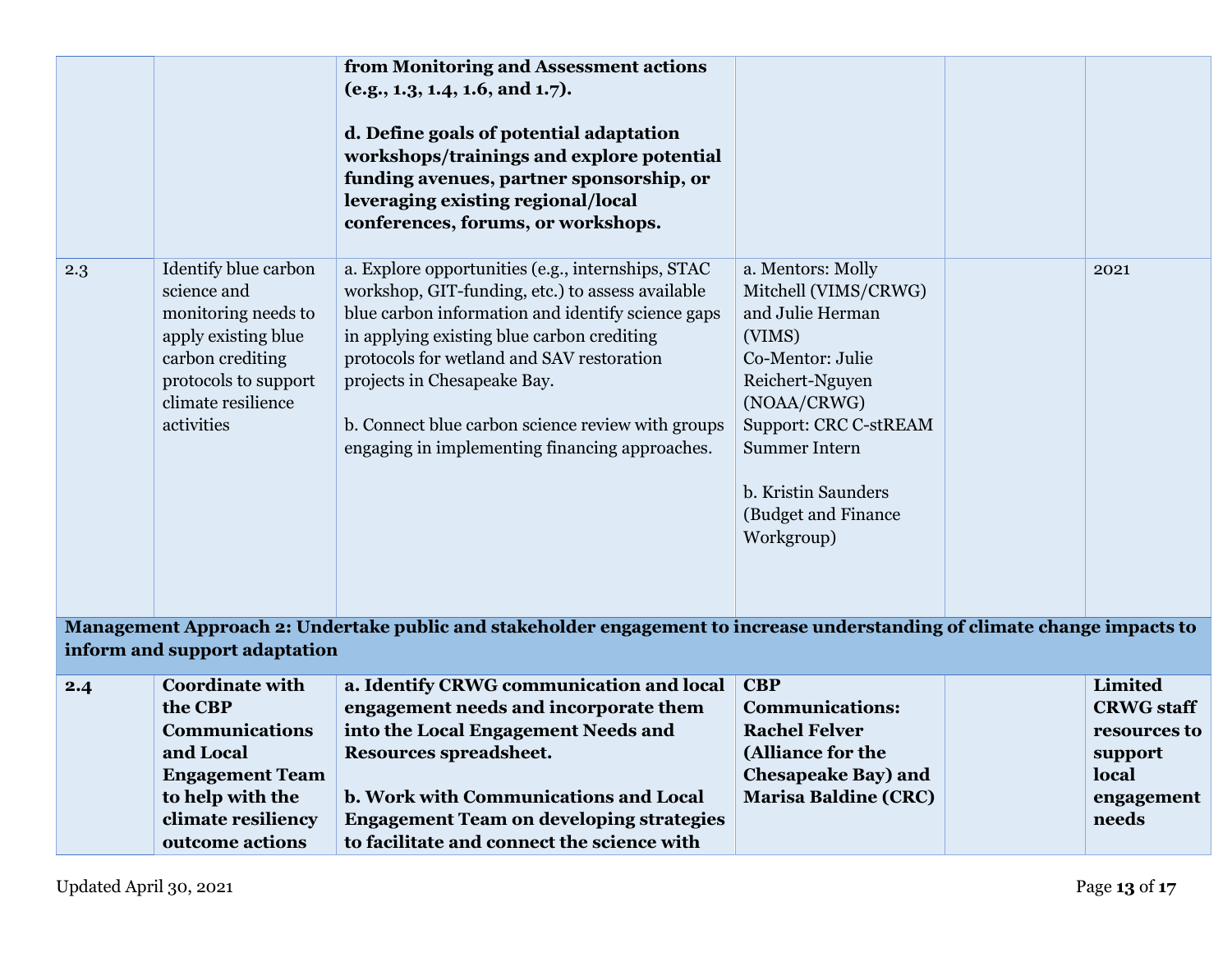|                                                                                                                                                            |                                                                                                                                                                   | from Monitoring and Assessment actions<br>(e.g., 1.3, 1.4, 1.6, and 1.7).<br>d. Define goals of potential adaptation<br>workshops/trainings and explore potential                                                                                                                                                                                                                           |                                                                                                                                                                                                                                                   |  |                                                                                                |  |
|------------------------------------------------------------------------------------------------------------------------------------------------------------|-------------------------------------------------------------------------------------------------------------------------------------------------------------------|---------------------------------------------------------------------------------------------------------------------------------------------------------------------------------------------------------------------------------------------------------------------------------------------------------------------------------------------------------------------------------------------|---------------------------------------------------------------------------------------------------------------------------------------------------------------------------------------------------------------------------------------------------|--|------------------------------------------------------------------------------------------------|--|
|                                                                                                                                                            |                                                                                                                                                                   | funding avenues, partner sponsorship, or<br>leveraging existing regional/local<br>conferences, forums, or workshops.                                                                                                                                                                                                                                                                        |                                                                                                                                                                                                                                                   |  |                                                                                                |  |
| 2.3                                                                                                                                                        | Identify blue carbon<br>science and<br>monitoring needs to<br>apply existing blue<br>carbon crediting<br>protocols to support<br>climate resilience<br>activities | a. Explore opportunities (e.g., internships, STAC<br>workshop, GIT-funding, etc.) to assess available<br>blue carbon information and identify science gaps<br>in applying existing blue carbon crediting<br>protocols for wetland and SAV restoration<br>projects in Chesapeake Bay.<br>b. Connect blue carbon science review with groups<br>engaging in implementing financing approaches. | a. Mentors: Molly<br>Mitchell (VIMS/CRWG)<br>and Julie Herman<br>(VIMS)<br>Co-Mentor: Julie<br>Reichert-Nguyen<br>(NOAA/CRWG)<br><b>Support: CRC C-stREAM</b><br><b>Summer Intern</b><br>b. Kristin Saunders<br>(Budget and Finance<br>Workgroup) |  | 2021                                                                                           |  |
| Management Approach 2: Undertake public and stakeholder engagement to increase understanding of climate change impacts to<br>inform and support adaptation |                                                                                                                                                                   |                                                                                                                                                                                                                                                                                                                                                                                             |                                                                                                                                                                                                                                                   |  |                                                                                                |  |
| 2.4                                                                                                                                                        | <b>Coordinate with</b><br>the CBP<br><b>Communications</b><br>and Local<br><b>Engagement Team</b><br>to help with the<br>climate resiliency<br>outcome actions    | a. Identify CRWG communication and local<br>engagement needs and incorporate them<br>into the Local Engagement Needs and<br>Resources spreadsheet.<br>b. Work with Communications and Local<br><b>Engagement Team on developing strategies</b><br>to facilitate and connect the science with                                                                                                | <b>CBP</b><br><b>Communications:</b><br><b>Rachel Felver</b><br>(Alliance for the<br><b>Chesapeake Bay) and</b><br><b>Marisa Baldine (CRC)</b>                                                                                                    |  | <b>Limited</b><br><b>CRWG</b> staff<br>resources to<br>support<br>local<br>engagement<br>needs |  |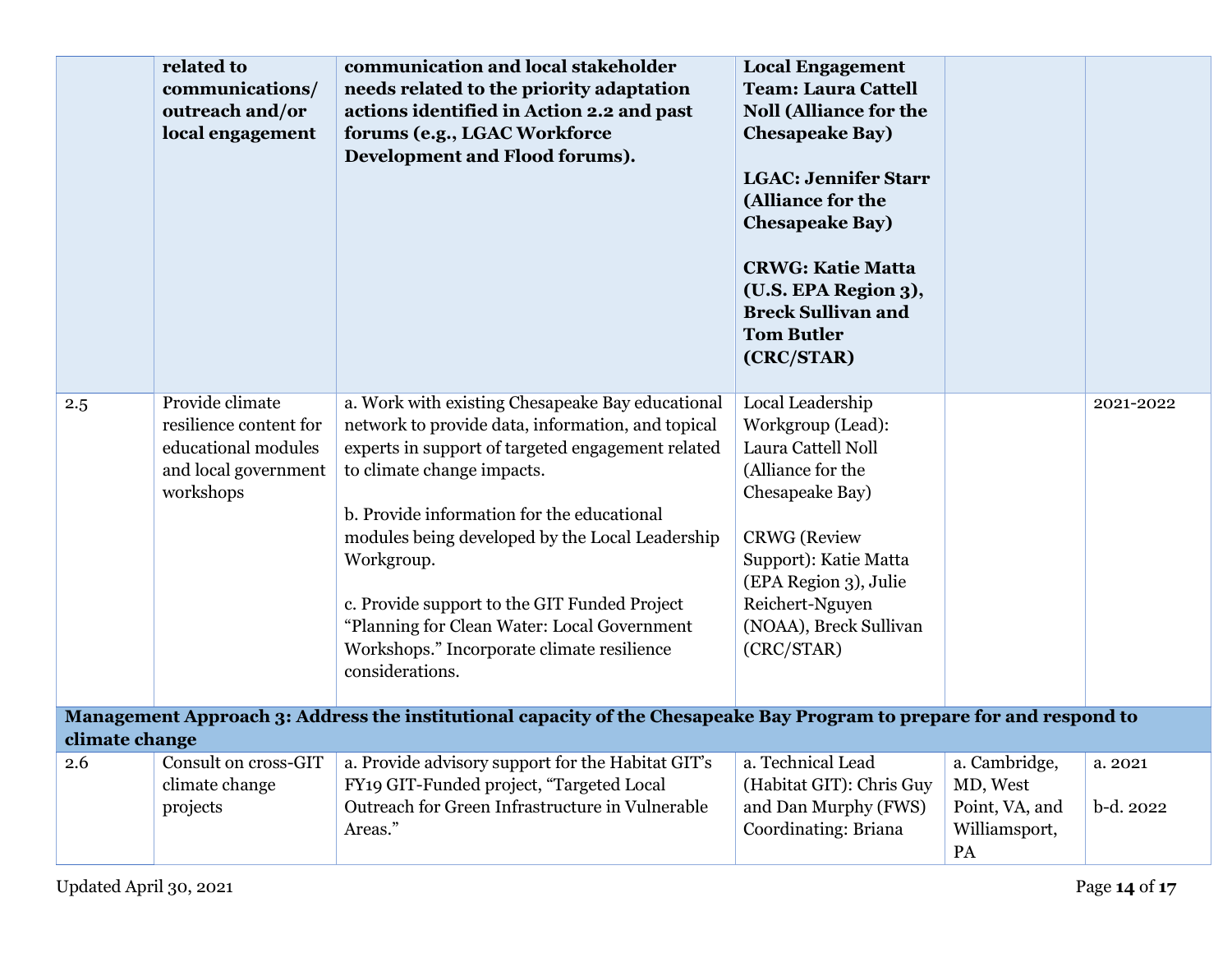|                                                                                                                                         | related to<br>communications/<br>outreach and/or<br>local engagement                                  | communication and local stakeholder<br>needs related to the priority adaptation<br>actions identified in Action 2.2 and past<br>forums (e.g., LGAC Workforce<br>Development and Flood forums).                                                                                                                                                                                                                                                                          | <b>Local Engagement</b><br><b>Team: Laura Cattell</b><br><b>Noll (Alliance for the</b><br><b>Chesapeake Bay)</b><br><b>LGAC: Jennifer Starr</b><br>(Alliance for the<br><b>Chesapeake Bay)</b><br><b>CRWG: Katie Matta</b><br>(U.S. EPA Region 3),<br><b>Breck Sullivan and</b><br><b>Tom Butler</b><br>(CRC/STAR) |                                                                    |                      |  |
|-----------------------------------------------------------------------------------------------------------------------------------------|-------------------------------------------------------------------------------------------------------|-------------------------------------------------------------------------------------------------------------------------------------------------------------------------------------------------------------------------------------------------------------------------------------------------------------------------------------------------------------------------------------------------------------------------------------------------------------------------|--------------------------------------------------------------------------------------------------------------------------------------------------------------------------------------------------------------------------------------------------------------------------------------------------------------------|--------------------------------------------------------------------|----------------------|--|
| 2.5                                                                                                                                     | Provide climate<br>resilience content for<br>educational modules<br>and local government<br>workshops | a. Work with existing Chesapeake Bay educational<br>network to provide data, information, and topical<br>experts in support of targeted engagement related<br>to climate change impacts.<br>b. Provide information for the educational<br>modules being developed by the Local Leadership<br>Workgroup.<br>c. Provide support to the GIT Funded Project<br>"Planning for Clean Water: Local Government<br>Workshops." Incorporate climate resilience<br>considerations. | Local Leadership<br>Workgroup (Lead):<br>Laura Cattell Noll<br>(Alliance for the<br>Chesapeake Bay)<br><b>CRWG</b> (Review<br>Support): Katie Matta<br>(EPA Region 3), Julie<br>Reichert-Nguyen<br>(NOAA), Breck Sullivan<br>(CRC/STAR)                                                                            |                                                                    | 2021-2022            |  |
| Management Approach 3: Address the institutional capacity of the Chesapeake Bay Program to prepare for and respond to<br>climate change |                                                                                                       |                                                                                                                                                                                                                                                                                                                                                                                                                                                                         |                                                                                                                                                                                                                                                                                                                    |                                                                    |                      |  |
| 2.6                                                                                                                                     | Consult on cross-GIT<br>climate change<br>projects                                                    | a. Provide advisory support for the Habitat GIT's<br>FY19 GIT-Funded project, "Targeted Local<br>Outreach for Green Infrastructure in Vulnerable<br>Areas."                                                                                                                                                                                                                                                                                                             | a. Technical Lead<br>(Habitat GIT): Chris Guy<br>and Dan Murphy (FWS)<br>Coordinating: Briana                                                                                                                                                                                                                      | a. Cambridge,<br>MD, West<br>Point, VA, and<br>Williamsport,<br>PA | a. 2021<br>b-d. 2022 |  |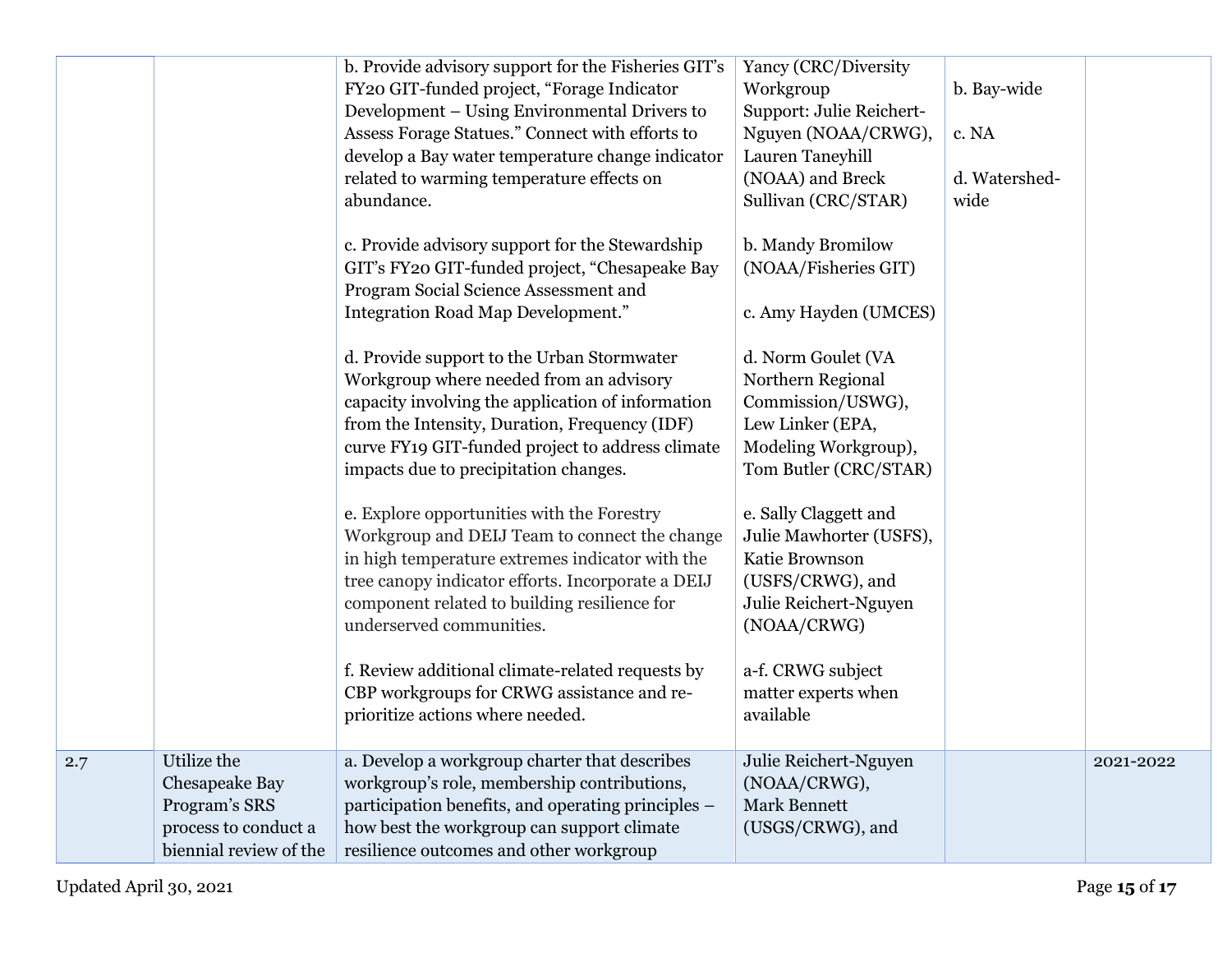|     |                      | b. Provide advisory support for the Fisheries GIT's | Yancy (CRC/Diversity     |               |           |
|-----|----------------------|-----------------------------------------------------|--------------------------|---------------|-----------|
|     |                      | FY20 GIT-funded project, "Forage Indicator          | Workgroup                | b. Bay-wide   |           |
|     |                      | Development – Using Environmental Drivers to        | Support: Julie Reichert- |               |           |
|     |                      | Assess Forage Statues." Connect with efforts to     | Nguyen (NOAA/CRWG),      | c. NA         |           |
|     |                      | develop a Bay water temperature change indicator    | Lauren Taneyhill         |               |           |
|     |                      | related to warming temperature effects on           | (NOAA) and Breck         | d. Watershed- |           |
|     |                      | abundance.                                          | Sullivan (CRC/STAR)      | wide          |           |
|     |                      |                                                     |                          |               |           |
|     |                      | c. Provide advisory support for the Stewardship     | b. Mandy Bromilow        |               |           |
|     |                      | GIT's FY20 GIT-funded project, "Chesapeake Bay      | (NOAA/Fisheries GIT)     |               |           |
|     |                      | Program Social Science Assessment and               |                          |               |           |
|     |                      | Integration Road Map Development."                  | c. Amy Hayden (UMCES)    |               |           |
|     |                      |                                                     |                          |               |           |
|     |                      | d. Provide support to the Urban Stormwater          | d. Norm Goulet (VA       |               |           |
|     |                      | Workgroup where needed from an advisory             | Northern Regional        |               |           |
|     |                      | capacity involving the application of information   | Commission/USWG),        |               |           |
|     |                      | from the Intensity, Duration, Frequency (IDF)       | Lew Linker (EPA,         |               |           |
|     |                      | curve FY19 GIT-funded project to address climate    | Modeling Workgroup),     |               |           |
|     |                      | impacts due to precipitation changes.               | Tom Butler (CRC/STAR)    |               |           |
|     |                      |                                                     |                          |               |           |
|     |                      | e. Explore opportunities with the Forestry          | e. Sally Claggett and    |               |           |
|     |                      | Workgroup and DEIJ Team to connect the change       | Julie Mawhorter (USFS),  |               |           |
|     |                      | in high temperature extremes indicator with the     | Katie Brownson           |               |           |
|     |                      | tree canopy indicator efforts. Incorporate a DEIJ   | (USFS/CRWG), and         |               |           |
|     |                      | component related to building resilience for        | Julie Reichert-Nguyen    |               |           |
|     |                      | underserved communities.                            | (NOAA/CRWG)              |               |           |
|     |                      |                                                     |                          |               |           |
|     |                      | f. Review additional climate-related requests by    | a-f. CRWG subject        |               |           |
|     |                      | CBP workgroups for CRWG assistance and re-          | matter experts when      |               |           |
|     |                      | prioritize actions where needed.                    | available                |               |           |
|     |                      |                                                     |                          |               |           |
| 2.7 | Utilize the          | a. Develop a workgroup charter that describes       | Julie Reichert-Nguyen    |               | 2021-2022 |
|     | Chesapeake Bay       | workgroup's role, membership contributions,         | (NOAA/CRWG),             |               |           |
|     | Program's SRS        | participation benefits, and operating principles –  | <b>Mark Bennett</b>      |               |           |
|     | process to conduct a | how best the workgroup can support climate          | (USGS/CRWG), and         |               |           |
|     |                      |                                                     |                          |               |           |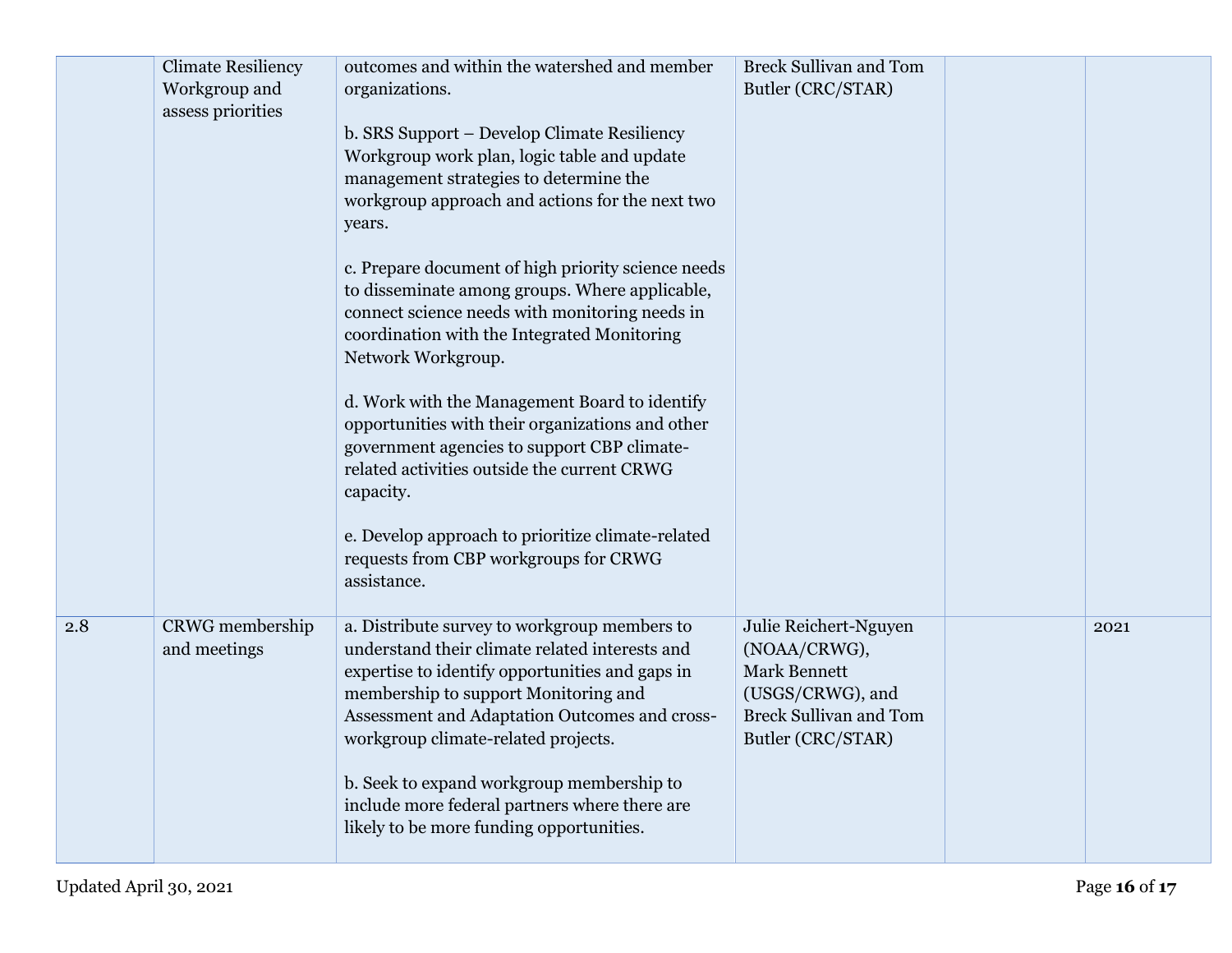|     | <b>Climate Resiliency</b><br>Workgroup and<br>assess priorities | outcomes and within the watershed and member<br>organizations.                                                                                                                                                                                                                    | <b>Breck Sullivan and Tom</b><br>Butler (CRC/STAR)                                                                                     |      |
|-----|-----------------------------------------------------------------|-----------------------------------------------------------------------------------------------------------------------------------------------------------------------------------------------------------------------------------------------------------------------------------|----------------------------------------------------------------------------------------------------------------------------------------|------|
|     |                                                                 | b. SRS Support - Develop Climate Resiliency<br>Workgroup work plan, logic table and update<br>management strategies to determine the<br>workgroup approach and actions for the next two<br>years.                                                                                 |                                                                                                                                        |      |
|     |                                                                 | c. Prepare document of high priority science needs<br>to disseminate among groups. Where applicable,<br>connect science needs with monitoring needs in<br>coordination with the Integrated Monitoring<br>Network Workgroup.                                                       |                                                                                                                                        |      |
|     |                                                                 | d. Work with the Management Board to identify<br>opportunities with their organizations and other<br>government agencies to support CBP climate-<br>related activities outside the current CRWG<br>capacity.                                                                      |                                                                                                                                        |      |
|     |                                                                 | e. Develop approach to prioritize climate-related<br>requests from CBP workgroups for CRWG<br>assistance.                                                                                                                                                                         |                                                                                                                                        |      |
| 2.8 | <b>CRWG</b> membership<br>and meetings                          | a. Distribute survey to workgroup members to<br>understand their climate related interests and<br>expertise to identify opportunities and gaps in<br>membership to support Monitoring and<br>Assessment and Adaptation Outcomes and cross-<br>workgroup climate-related projects. | Julie Reichert-Nguyen<br>(NOAA/CRWG),<br><b>Mark Bennett</b><br>(USGS/CRWG), and<br><b>Breck Sullivan and Tom</b><br>Butler (CRC/STAR) | 2021 |
|     |                                                                 | b. Seek to expand workgroup membership to<br>include more federal partners where there are<br>likely to be more funding opportunities.                                                                                                                                            |                                                                                                                                        |      |